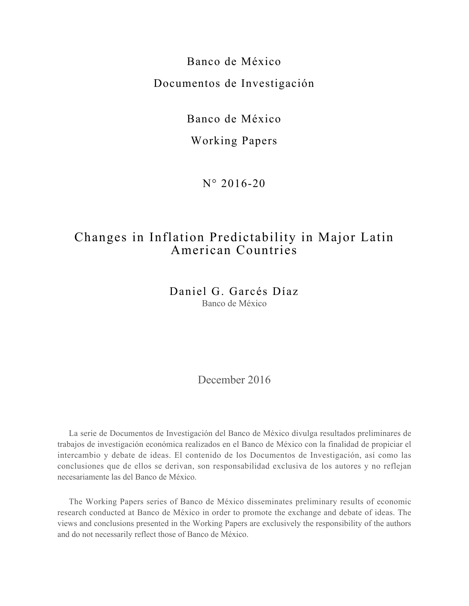Banco de México Documentos de Investigación

Banco de México

# Working Papers

N° 2016-20

# Changes in Inflation Predictability in Major Latin American Countries

Daniel G. Garcés Díaz Banco de México

December 2016

La serie de Documentos de Investigación del Banco de México divulga resultados preliminares de trabajos de investigación económica realizados en el Banco de México con la finalidad de propiciar el intercambio y debate de ideas. El contenido de los Documentos de Investigación, así como las conclusiones que de ellos se derivan, son responsabilidad exclusiva de los autores y no reflejan necesariamente las del Banco de México.

The Working Papers series of Banco de México disseminates preliminary results of economic research conducted at Banco de México in order to promote the exchange and debate of ideas. The views and conclusions presented in the Working Papers are exclusively the responsibility of the authors and do not necessarily reflect those of Banco de México.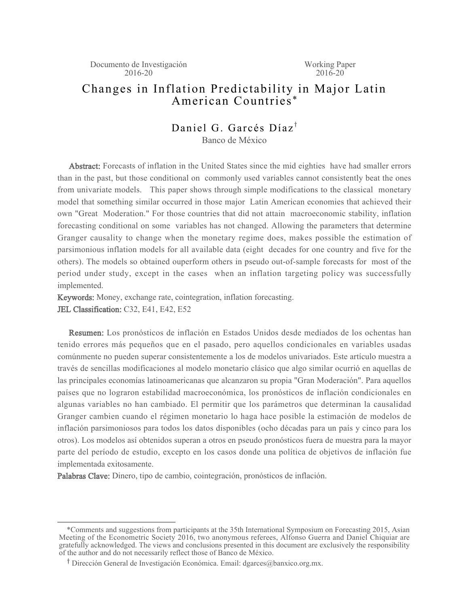# Changes in Inflation Predictability in Major Latin American Countries \*

# Daniel G. Garcés Díaz<sup>†</sup>

Banco de México

Abstract: Forecasts of inflation in the United States since the mid eighties have had smaller errors than in the past, but those conditional on commonly used variables cannot consistently beat the ones from univariate models. This paper shows through simple modifications to the classical monetary model that something similar occurred in those major Latin American economies that achieved their own "Great Moderation." For those countries that did not attain macroeconomic stability, inflation forecasting conditional on some variables has not changed. Allowing the parameters that determine Granger causality to change when the monetary regime does, makes possible the estimation of parsimonious inflation models for all available data (eight decades for one country and five for the others). The models so obtained ouperform others in pseudo out-of-sample forecasts for most of the period under study, except in the cases when an inflation targeting policy was successfully implemented.

Keywords: Money, exchange rate, cointegration, inflation forecasting. JEL Classification: C32, E41, E42, E52

Resumen: Los pronósticos de inflación en Estados Unidos desde mediados de los ochentas han tenido errores más pequeños que en el pasado, pero aquellos condicionales en variables usadas comúnmente no pueden superar consistentemente a los de modelos univariados. Este artículo muestra a través de sencillas modificaciones al modelo monetario clásico que algo similar ocurrió en aquellas de las principales economías latinoamericanas que alcanzaron su propia "Gran Moderación". Para aquellos países que no lograron estabilidad macroeconómica, los pronósticos de inflación condicionales en algunas variables no han cambiado. El permitir que los parámetros que determinan la causalidad Granger cambien cuando el régimen monetario lo haga hace posible la estimación de modelos de inflación parsimoniosos para todos los datos disponibles (ocho décadas para un país y cinco para los otros). Los modelos así obtenidos superan a otros en pseudo pronósticos fuera de muestra para la mayor parte del período de estudio, excepto en los casos donde una política de objetivos de inflación fue implementada exitosamente.

Palabras Clave: Dinero, tipo de cambio, cointegración, pronósticos de inflación.

 <sup>\*</sup>Comments and suggestions from participants at the 35th International Symposium on Forecasting 2015, Asian Meeting of the Econometric Society 2016, two anonymous referees, Alfonso Guerra and Daniel Chiquiar are gratefully acknowledged. The views and conclusions presented in this document are exclusively the responsibility of the author and do not necessarily reflect those of Banco de México.

<sup>&</sup>lt;sup>†</sup> Dirección General de Investigación Económica. Email: dgarces@banxico.org.mx.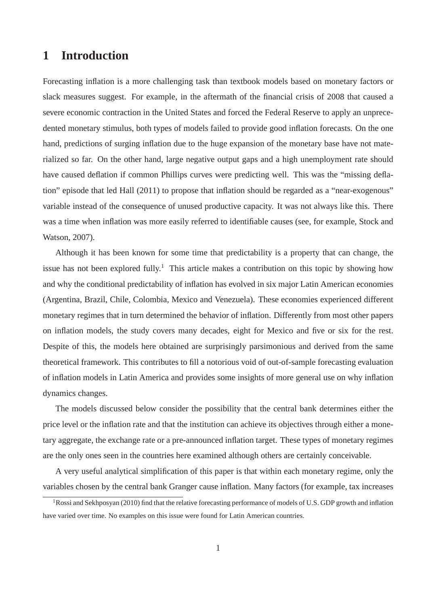# **1 Introduction**

Forecasting inflation is a more challenging task than textbook models based on monetary factors or slack measures suggest. For example, in the aftermath of the financial crisis of 2008 that caused a severe economic contraction in the United States and forced the Federal Reserve to apply an unprecedented monetary stimulus, both types of models failed to provide good inflation forecasts. On the one hand, predictions of surging inflation due to the huge expansion of the monetary base have not materialized so far. On the other hand, large negative output gaps and a high unemployment rate should have caused deflation if common Phillips curves were predicting well. This was the "missing deflation" episode that led Hall (2011) to propose that inflation should be regarded as a "near-exogenous" variable instead of the consequence of unused productive capacity. It was not always like this. There was a time when inflation was more easily referred to identifiable causes (see, for example, Stock and Watson, 2007).

Although it has been known for some time that predictability is a property that can change, the issue has not been explored fully.<sup>1</sup> This article makes a contribution on this topic by showing how and why the conditional predictability of inflation has evolved in six major Latin American economies (Argentina, Brazil, Chile, Colombia, Mexico and Venezuela). These economies experienced different monetary regimes that in turn determined the behavior of inflation. Differently from most other papers on inflation models, the study covers many decades, eight for Mexico and five or six for the rest. Despite of this, the models here obtained are surprisingly parsimonious and derived from the same theoretical framework. This contributes to fill a notorious void of out-of-sample forecasting evaluation of inflation models in Latin America and provides some insights of more general use on why inflation dynamics changes.

The models discussed below consider the possibility that the central bank determines either the price level or the inflation rate and that the institution can achieve its objectives through either a monetary aggregate, the exchange rate or a pre-announced inflation target. These types of monetary regimes are the only ones seen in the countries here examined although others are certainly conceivable.

A very useful analytical simplification of this paper is that within each monetary regime, only the variables chosen by the central bank Granger cause inflation. Many factors (for example, tax increases

<sup>&</sup>lt;sup>1</sup>Rossi and Sekhposyan (2010) find that the relative forecasting performance of models of U.S. GDP growth and inflation have varied over time. No examples on this issue were found for Latin American countries.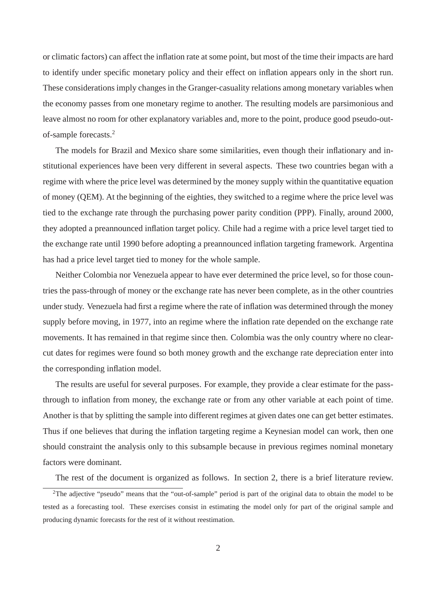or climatic factors) can affect the inflation rate at some point, but most of the time their impacts are hard to identify under specific monetary policy and their effect on inflation appears only in the short run. These considerations imply changes in the Granger-casuality relations among monetary variables when the economy passes from one monetary regime to another. The resulting models are parsimonious and leave almost no room for other explanatory variables and, more to the point, produce good pseudo-outof-sample forecasts.<sup>2</sup>

The models for Brazil and Mexico share some similarities, even though their inflationary and institutional experiences have been very different in several aspects. These two countries began with a regime with where the price level was determined by the money supply within the quantitative equation of money (QEM). At the beginning of the eighties, they switched to a regime where the price level was tied to the exchange rate through the purchasing power parity condition (PPP). Finally, around 2000, they adopted a preannounced inflation target policy. Chile had a regime with a price level target tied to the exchange rate until 1990 before adopting a preannounced inflation targeting framework. Argentina has had a price level target tied to money for the whole sample.

Neither Colombia nor Venezuela appear to have ever determined the price level, so for those countries the pass-through of money or the exchange rate has never been complete, as in the other countries under study. Venezuela had first a regime where the rate of inflation was determined through the money supply before moving, in 1977, into an regime where the inflation rate depended on the exchange rate movements. It has remained in that regime since then. Colombia was the only country where no clearcut dates for regimes were found so both money growth and the exchange rate depreciation enter into the corresponding inflation model.

The results are useful for several purposes. For example, they provide a clear estimate for the passthrough to inflation from money, the exchange rate or from any other variable at each point of time. Another is that by splitting the sample into different regimes at given dates one can get better estimates. Thus if one believes that during the inflation targeting regime a Keynesian model can work, then one should constraint the analysis only to this subsample because in previous regimes nominal monetary factors were dominant.

The rest of the document is organized as follows. In section 2, there is a brief literature review.

<sup>&</sup>lt;sup>2</sup>The adjective "pseudo" means that the "out-of-sample" period is part of the original data to obtain the model to be tested as a forecasting tool. These exercises consist in estimating the model only for part of the original sample and producing dynamic forecasts for the rest of it without reestimation.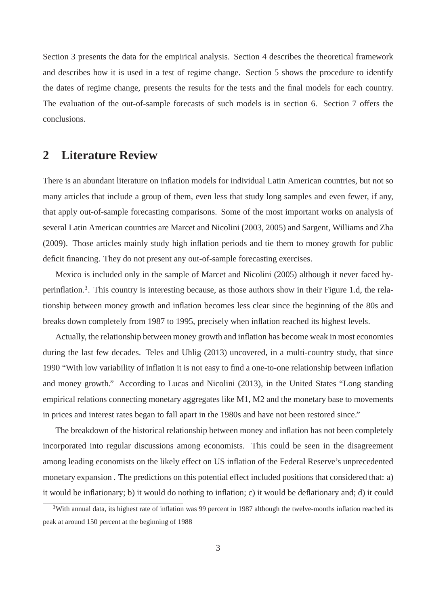Section 3 presents the data for the empirical analysis. Section 4 describes the theoretical framework and describes how it is used in a test of regime change. Section 5 shows the procedure to identify the dates of regime change, presents the results for the tests and the final models for each country. The evaluation of the out-of-sample forecasts of such models is in section 6. Section 7 offers the conclusions.

# **2 Literature Review**

There is an abundant literature on inflation models for individual Latin American countries, but not so many articles that include a group of them, even less that study long samples and even fewer, if any, that apply out-of-sample forecasting comparisons. Some of the most important works on analysis of several Latin American countries are Marcet and Nicolini (2003, 2005) and Sargent, Williams and Zha (2009). Those articles mainly study high inflation periods and tie them to money growth for public deficit financing. They do not present any out-of-sample forecasting exercises.

Mexico is included only in the sample of Marcet and Nicolini (2005) although it never faced hyperinflation.<sup>3</sup>. This country is interesting because, as those authors show in their Figure 1.d, the relationship between money growth and inflation becomes less clear since the beginning of the 80s and breaks down completely from 1987 to 1995, precisely when inflation reached its highest levels.

Actually, the relationship between money growth and inflation has become weak in most economies during the last few decades. Teles and Uhlig (2013) uncovered, in a multi-country study, that since 1990 "With low variability of inflation it is not easy to find a one-to-one relationship between inflation and money growth." According to Lucas and Nicolini (2013), in the United States "Long standing empirical relations connecting monetary aggregates like M1, M2 and the monetary base to movements in prices and interest rates began to fall apart in the 1980s and have not been restored since."

The breakdown of the historical relationship between money and inflation has not been completely incorporated into regular discussions among economists. This could be seen in the disagreement among leading economists on the likely effect on US inflation of the Federal Reserve's unprecedented monetary expansion . The predictions on this potential effect included positions that considered that: a) it would be inflationary; b) it would do nothing to inflation; c) it would be deflationary and; d) it could

 $3$ With annual data, its highest rate of inflation was 99 percent in 1987 although the twelve-months inflation reached its peak at around 150 percent at the beginning of 1988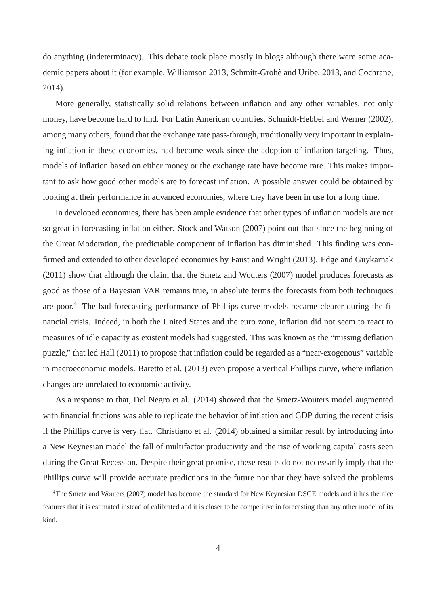do anything (indeterminacy). This debate took place mostly in blogs although there were some academic papers about it (for example, Williamson 2013, Schmitt-Grohe and Uribe, 2013, and Cochrane, ´ 2014).

More generally, statistically solid relations between inflation and any other variables, not only money, have become hard to find. For Latin American countries, Schmidt-Hebbel and Werner (2002), among many others, found that the exchange rate pass-through, traditionally very important in explaining inflation in these economies, had become weak since the adoption of inflation targeting. Thus, models of inflation based on either money or the exchange rate have become rare. This makes important to ask how good other models are to forecast inflation. A possible answer could be obtained by looking at their performance in advanced economies, where they have been in use for a long time.

In developed economies, there has been ample evidence that other types of inflation models are not so great in forecasting inflation either. Stock and Watson (2007) point out that since the beginning of the Great Moderation, the predictable component of inflation has diminished. This finding was confirmed and extended to other developed economies by Faust and Wright (2013). Edge and Guykarnak (2011) show that although the claim that the Smetz and Wouters (2007) model produces forecasts as good as those of a Bayesian VAR remains true, in absolute terms the forecasts from both techniques are poor.<sup>4</sup> The bad forecasting performance of Phillips curve models became clearer during the financial crisis. Indeed, in both the United States and the euro zone, inflation did not seem to react to measures of idle capacity as existent models had suggested. This was known as the "missing deflation puzzle," that led Hall (2011) to propose that inflation could be regarded as a "near-exogenous" variable in macroeconomic models. Baretto et al. (2013) even propose a vertical Phillips curve, where inflation changes are unrelated to economic activity.

As a response to that, Del Negro et al. (2014) showed that the Smetz-Wouters model augmented with financial frictions was able to replicate the behavior of inflation and GDP during the recent crisis if the Phillips curve is very flat. Christiano et al. (2014) obtained a similar result by introducing into a New Keynesian model the fall of multifactor productivity and the rise of working capital costs seen during the Great Recession. Despite their great promise, these results do not necessarily imply that the Phillips curve will provide accurate predictions in the future nor that they have solved the problems

<sup>&</sup>lt;sup>4</sup>The Smetz and Wouters (2007) model has become the standard for New Keynesian DSGE models and it has the nice features that it is estimated instead of calibrated and it is closer to be competitive in forecasting than any other model of its kind.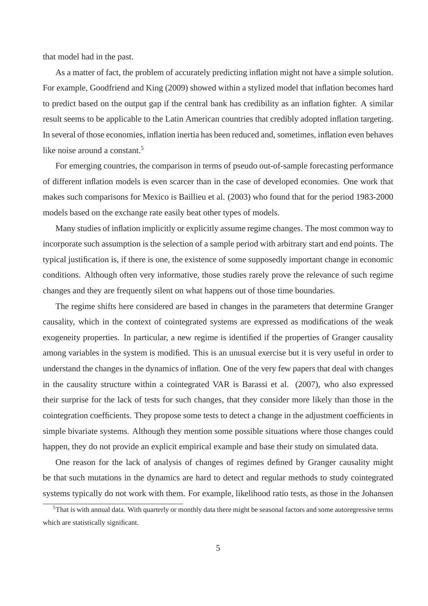that model had in the past.

As a matter of fact, the problem of accurately predicting inflation might not have a simple solution. For example, Goodfriend and King (2009) showed within a stylized model that inflation becomes hard to predict based on the output gap if the central bank has credibility as an inflation fighter. A similar result seems to be applicable to the Latin American countries that credibly adopted inflation targeting. In several of those economies, inflation inertia has been reduced and, sometimes, inflation even behaves like noise around a constant.<sup>5</sup>

For emerging countries, the comparison in terms of pseudo out-of-sample forecasting performance of different inflation models is even scarcer than in the case of developed economies. One work that makes such comparisons for Mexico is Baillieu et al. (2003) who found that for the period 1983-2000 models based on the exchange rate easily beat other types of models.

Many studies of inflation implicitly or explicitly assume regime changes. The most common way to incorporate such assumption is the selection of a sample period with arbitrary start and end points. The typical justification is, if there is one, the existence of some supposedly important change in economic conditions. Although often very informative, those studies rarely prove the relevance of such regime changes and they are frequently silent on what happens out of those time boundaries.

The regime shifts here considered are based in changes in the parameters that determine Granger causality, which in the context of cointegrated systems are expressed as modifications of the weak exogeneity properties. In particular, a new regime is identified if the properties of Granger causality among variables in the system is modified. This is an unusual exercise but it is very useful in order to understand the changes in the dynamics of inflation. One of the very few papers that deal with changes in the causality structure within a cointegrated VAR is Barassi et al. (2007), who also expressed their surprise for the lack of tests for such changes, that they consider more likely than those in the cointegration coefficients. They propose some tests to detect a change in the adjustment coefficients in simple bivariate systems. Although they mention some possible situations where those changes could happen, they do not provide an explicit empirical example and base their study on simulated data.

One reason for the lack of analysis of changes of regimes defined by Granger causality might be that such mutations in the dynamics are hard to detect and regular methods to study cointegrated systems typically do not work with them. For example, likelihood ratio tests, as those in the Johansen

 $5$ That is with annual data. With quarterly or monthly data there might be seasonal factors and some autoregressive terms which are statistically significant.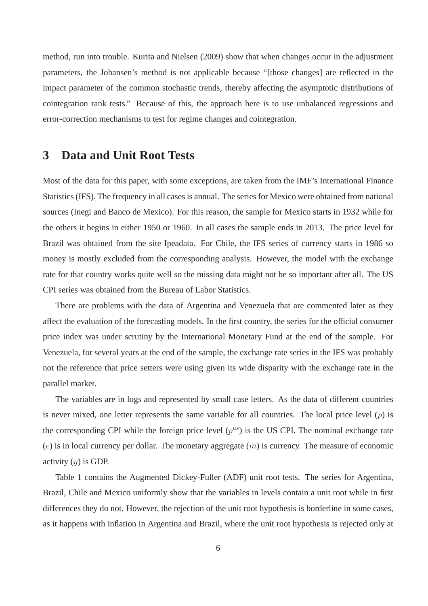method, run into trouble. Kurita and Nielsen (2009) show that when changes occur in the adjustment parameters, the Johansen's method is not applicable because "[those changes] are reflected in the impact parameter of the common stochastic trends, thereby affecting the asymptotic distributions of cointegration rank tests." Because of this, the approach here is to use unbalanced regressions and error-correction mechanisms to test for regime changes and cointegration.

# **3 Data and Unit Root Tests**

Most of the data for this paper, with some exceptions, are taken from the IMF's International Finance Statistics (IFS). The frequency in all cases is annual. The series for Mexico were obtained from national sources (Inegi and Banco de Mexico). For this reason, the sample for Mexico starts in 1932 while for the others it begins in either 1950 or 1960. In all cases the sample ends in 2013. The price level for Brazil was obtained from the site Ipeadata. For Chile, the IFS series of currency starts in 1986 so money is mostly excluded from the corresponding analysis. However, the model with the exchange rate for that country works quite well so the missing data might not be so important after all. The US CPI series was obtained from the Bureau of Labor Statistics.

There are problems with the data of Argentina and Venezuela that are commented later as they affect the evaluation of the forecasting models. In the first country, the series for the official consumer price index was under scrutiny by the International Monetary Fund at the end of the sample. For Venezuela, for several years at the end of the sample, the exchange rate series in the IFS was probably not the reference that price setters were using given its wide disparity with the exchange rate in the parallel market.

The variables are in logs and represented by small case letters. As the data of different countries is never mixed, one letter represents the same variable for all countries. The local price level  $(p)$  is the corresponding CPI while the foreign price level  $(p^{us})$  is the US CPI. The nominal exchange rate  $(e)$  is in local currency per dollar. The monetary aggregate  $(m)$  is currency. The measure of economic activity  $(y)$  is GDP.

Table 1 contains the Augmented Dickey-Fuller (ADF) unit root tests. The series for Argentina, Brazil, Chile and Mexico uniformly show that the variables in levels contain a unit root while in first differences they do not. However, the rejection of the unit root hypothesis is borderline in some cases, as it happens with inflation in Argentina and Brazil, where the unit root hypothesis is rejected only at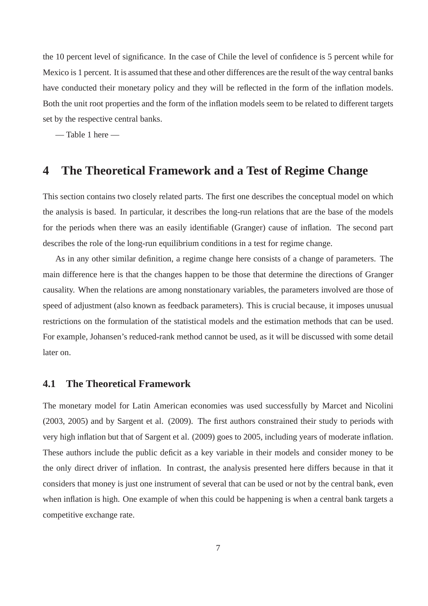the 10 percent level of significance. In the case of Chile the level of confidence is 5 percent while for Mexico is 1 percent. It is assumed that these and other differences are the result of the way central banks have conducted their monetary policy and they will be reflected in the form of the inflation models. Both the unit root properties and the form of the inflation models seem to be related to different targets set by the respective central banks.

— Table 1 here —

# **4 The Theoretical Framework and a Test of Regime Change**

This section contains two closely related parts. The first one describes the conceptual model on which the analysis is based. In particular, it describes the long-run relations that are the base of the models for the periods when there was an easily identifiable (Granger) cause of inflation. The second part describes the role of the long-run equilibrium conditions in a test for regime change.

As in any other similar definition, a regime change here consists of a change of parameters. The main difference here is that the changes happen to be those that determine the directions of Granger causality. When the relations are among nonstationary variables, the parameters involved are those of speed of adjustment (also known as feedback parameters). This is crucial because, it imposes unusual restrictions on the formulation of the statistical models and the estimation methods that can be used. For example, Johansen's reduced-rank method cannot be used, as it will be discussed with some detail later on.

### **4.1 The Theoretical Framework**

The monetary model for Latin American economies was used successfully by Marcet and Nicolini (2003, 2005) and by Sargent et al. (2009). The first authors constrained their study to periods with very high inflation but that of Sargent et al. (2009) goes to 2005, including years of moderate inflation. These authors include the public deficit as a key variable in their models and consider money to be the only direct driver of inflation. In contrast, the analysis presented here differs because in that it considers that money is just one instrument of several that can be used or not by the central bank, even when inflation is high. One example of when this could be happening is when a central bank targets a competitive exchange rate.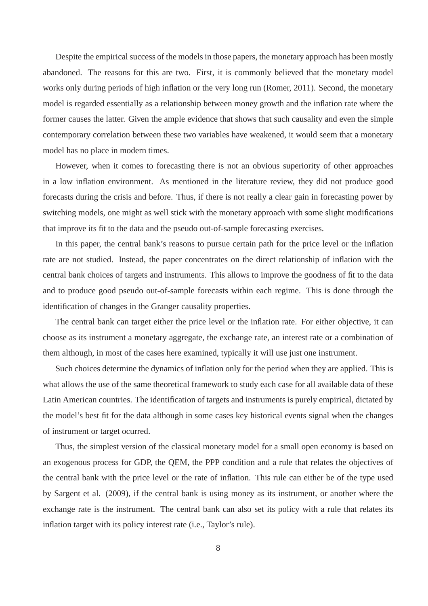Despite the empirical success of the models in those papers, the monetary approach has been mostly abandoned. The reasons for this are two. First, it is commonly believed that the monetary model works only during periods of high inflation or the very long run (Romer, 2011). Second, the monetary model is regarded essentially as a relationship between money growth and the inflation rate where the former causes the latter. Given the ample evidence that shows that such causality and even the simple contemporary correlation between these two variables have weakened, it would seem that a monetary model has no place in modern times.

However, when it comes to forecasting there is not an obvious superiority of other approaches in a low inflation environment. As mentioned in the literature review, they did not produce good forecasts during the crisis and before. Thus, if there is not really a clear gain in forecasting power by switching models, one might as well stick with the monetary approach with some slight modifications that improve its fit to the data and the pseudo out-of-sample forecasting exercises.

In this paper, the central bank's reasons to pursue certain path for the price level or the inflation rate are not studied. Instead, the paper concentrates on the direct relationship of inflation with the central bank choices of targets and instruments. This allows to improve the goodness of fit to the data and to produce good pseudo out-of-sample forecasts within each regime. This is done through the identification of changes in the Granger causality properties.

The central bank can target either the price level or the inflation rate. For either objective, it can choose as its instrument a monetary aggregate, the exchange rate, an interest rate or a combination of them although, in most of the cases here examined, typically it will use just one instrument.

Such choices determine the dynamics of inflation only for the period when they are applied. This is what allows the use of the same theoretical framework to study each case for all available data of these Latin American countries. The identification of targets and instruments is purely empirical, dictated by the model's best fit for the data although in some cases key historical events signal when the changes of instrument or target ocurred.

Thus, the simplest version of the classical monetary model for a small open economy is based on an exogenous process for GDP, the QEM, the PPP condition and a rule that relates the objectives of the central bank with the price level or the rate of inflation. This rule can either be of the type used by Sargent et al. (2009), if the central bank is using money as its instrument, or another where the exchange rate is the instrument. The central bank can also set its policy with a rule that relates its inflation target with its policy interest rate (i.e., Taylor's rule).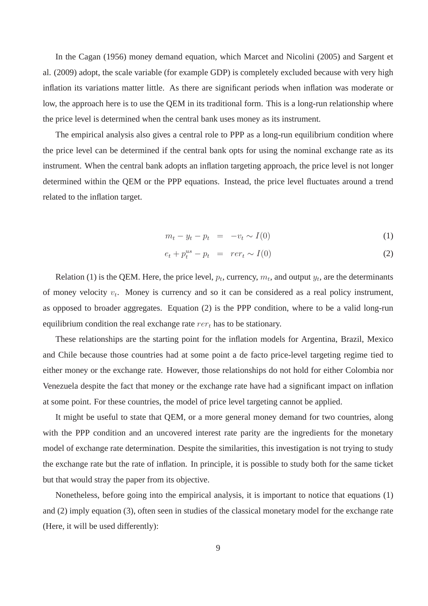In the Cagan (1956) money demand equation, which Marcet and Nicolini (2005) and Sargent et al. (2009) adopt, the scale variable (for example GDP) is completely excluded because with very high inflation its variations matter little. As there are significant periods when inflation was moderate or low, the approach here is to use the QEM in its traditional form. This is a long-run relationship where the price level is determined when the central bank uses money as its instrument.

The empirical analysis also gives a central role to PPP as a long-run equilibrium condition where the price level can be determined if the central bank opts for using the nominal exchange rate as its instrument. When the central bank adopts an inflation targeting approach, the price level is not longer determined within the QEM or the PPP equations. Instead, the price level fluctuates around a trend related to the inflation target.

$$
m_t - y_t - p_t = -v_t \sim I(0) \tag{1}
$$

$$
e_t + p_t^{us} - p_t = r e r_t \sim I(0)
$$
\n<sup>(2)</sup>

Relation (1) is the QEM. Here, the price level,  $p_t$ , currency,  $m_t$ , and output  $y_t$ , are the determinants of money velocity  $v_t$ . Money is currency and so it can be considered as a real policy instrument, as opposed to broader aggregates. Equation (2) is the PPP condition, where to be a valid long-run equilibrium condition the real exchange rate  $rer_t$  has to be stationary.

These relationships are the starting point for the inflation models for Argentina, Brazil, Mexico and Chile because those countries had at some point a de facto price-level targeting regime tied to either money or the exchange rate. However, those relationships do not hold for either Colombia nor Venezuela despite the fact that money or the exchange rate have had a significant impact on inflation at some point. For these countries, the model of price level targeting cannot be applied.

It might be useful to state that QEM, or a more general money demand for two countries, along with the PPP condition and an uncovered interest rate parity are the ingredients for the monetary model of exchange rate determination. Despite the similarities, this investigation is not trying to study the exchange rate but the rate of inflation. In principle, it is possible to study both for the same ticket but that would stray the paper from its objective.

Nonetheless, before going into the empirical analysis, it is important to notice that equations (1) and (2) imply equation (3), often seen in studies of the classical monetary model for the exchange rate (Here, it will be used differently):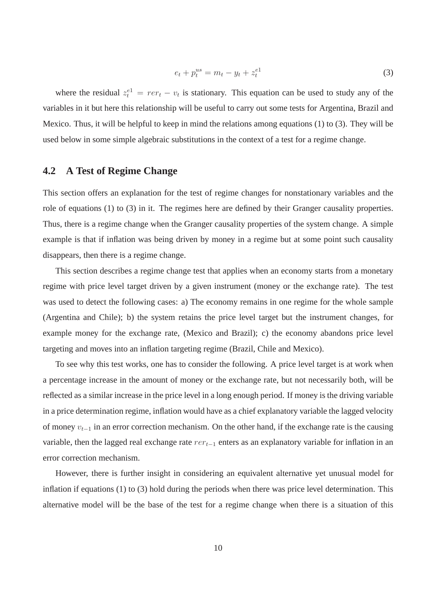$$
e_t + p_t^{us} = m_t - y_t + z_t^{e1}
$$
 (3)

where the residual  $z_t^{e1} = rer_t - v_t$  is stationary. This equation can be used to study any of the variables in it but here this relationship will be useful to carry out some tests for Argentina, Brazil and Mexico. Thus, it will be helpful to keep in mind the relations among equations (1) to (3). They will be used below in some simple algebraic substitutions in the context of a test for a regime change.

### **4.2 A Test of Regime Change**

This section offers an explanation for the test of regime changes for nonstationary variables and the role of equations (1) to (3) in it. The regimes here are defined by their Granger causality properties. Thus, there is a regime change when the Granger causality properties of the system change. A simple example is that if inflation was being driven by money in a regime but at some point such causality disappears, then there is a regime change.

This section describes a regime change test that applies when an economy starts from a monetary regime with price level target driven by a given instrument (money or the exchange rate). The test was used to detect the following cases: a) The economy remains in one regime for the whole sample (Argentina and Chile); b) the system retains the price level target but the instrument changes, for example money for the exchange rate, (Mexico and Brazil); c) the economy abandons price level targeting and moves into an inflation targeting regime (Brazil, Chile and Mexico).

To see why this test works, one has to consider the following. A price level target is at work when a percentage increase in the amount of money or the exchange rate, but not necessarily both, will be reflected as a similar increase in the price level in a long enough period. If money is the driving variable in a price determination regime, inflation would have as a chief explanatory variable the lagged velocity of money  $v_{t-1}$  in an error correction mechanism. On the other hand, if the exchange rate is the causing variable, then the lagged real exchange rate  $rer_{t-1}$  enters as an explanatory variable for inflation in an error correction mechanism.

However, there is further insight in considering an equivalent alternative yet unusual model for inflation if equations (1) to (3) hold during the periods when there was price level determination. This alternative model will be the base of the test for a regime change when there is a situation of this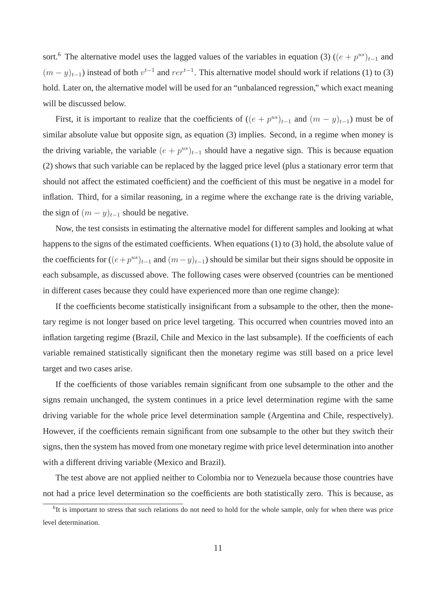sort.<sup>6</sup> The alternative model uses the lagged values of the variables in equation (3) ( $(e + p^{us})_{t-1}$  and  $(m-y)_{t-1}$ ) instead of both  $v^{t-1}$  and  $rer^{t-1}$ . This alternative model should work if relations (1) to (3) hold. Later on, the alternative model will be used for an "unbalanced regression," which exact meaning will be discussed below.

First, it is important to realize that the coefficients of  $((e + p^{us})_{t-1}$  and  $(m - y)_{t-1})$  must be of similar absolute value but opposite sign, as equation (3) implies. Second, in a regime when money is the driving variable, the variable  $(e + p^{us})_{t-1}$  should have a negative sign. This is because equation (2) shows that such variable can be replaced by the lagged price level (plus a stationary error term that should not affect the estimated coefficient) and the coefficient of this must be negative in a model for inflation. Third, for a similar reasoning, in a regime where the exchange rate is the driving variable, the sign of  $(m - y)_{t-1}$  should be negative.

Now, the test consists in estimating the alternative model for different samples and looking at what happens to the signs of the estimated coefficients. When equations (1) to (3) hold, the absolute value of the coefficients for  $((e+p^{us})_{t-1}$  and  $(m-y)_{t-1})$  should be similar but their signs should be opposite in each subsample, as discussed above. The following cases were observed (countries can be mentioned in different cases because they could have experienced more than one regime change):

If the coefficients become statistically insignificant from a subsample to the other, then the monetary regime is not longer based on price level targeting. This occurred when countries moved into an inflation targeting regime (Brazil, Chile and Mexico in the last subsample). If the coefficients of each variable remained statistically significant then the monetary regime was still based on a price level target and two cases arise.

If the coefficients of those variables remain significant from one subsample to the other and the signs remain unchanged, the system continues in a price level determination regime with the same driving variable for the whole price level determination sample (Argentina and Chile, respectively). However, if the coefficients remain significant from one subsample to the other but they switch their signs, then the system has moved from one monetary regime with price level determination into another with a different driving variable (Mexico and Brazil).

The test above are not applied neither to Colombia nor to Venezuela because those countries have not had a price level determination so the coefficients are both statistically zero. This is because, as

<sup>&</sup>lt;sup>6</sup>It is important to stress that such relations do not need to hold for the whole sample, only for when there was price level determination.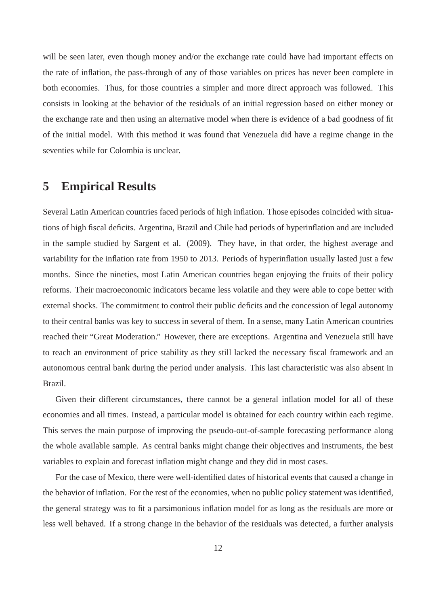will be seen later, even though money and/or the exchange rate could have had important effects on the rate of inflation, the pass-through of any of those variables on prices has never been complete in both economies. Thus, for those countries a simpler and more direct approach was followed. This consists in looking at the behavior of the residuals of an initial regression based on either money or the exchange rate and then using an alternative model when there is evidence of a bad goodness of fit of the initial model. With this method it was found that Venezuela did have a regime change in the seventies while for Colombia is unclear.

# **5 Empirical Results**

Several Latin American countries faced periods of high inflation. Those episodes coincided with situations of high fiscal deficits. Argentina, Brazil and Chile had periods of hyperinflation and are included in the sample studied by Sargent et al. (2009). They have, in that order, the highest average and variability for the inflation rate from 1950 to 2013. Periods of hyperinflation usually lasted just a few months. Since the nineties, most Latin American countries began enjoying the fruits of their policy reforms. Their macroeconomic indicators became less volatile and they were able to cope better with external shocks. The commitment to control their public deficits and the concession of legal autonomy to their central banks was key to success in several of them. In a sense, many Latin American countries reached their "Great Moderation." However, there are exceptions. Argentina and Venezuela still have to reach an environment of price stability as they still lacked the necessary fiscal framework and an autonomous central bank during the period under analysis. This last characteristic was also absent in Brazil.

Given their different circumstances, there cannot be a general inflation model for all of these economies and all times. Instead, a particular model is obtained for each country within each regime. This serves the main purpose of improving the pseudo-out-of-sample forecasting performance along the whole available sample. As central banks might change their objectives and instruments, the best variables to explain and forecast inflation might change and they did in most cases.

For the case of Mexico, there were well-identified dates of historical events that caused a change in the behavior of inflation. For the rest of the economies, when no public policy statement was identified, the general strategy was to fit a parsimonious inflation model for as long as the residuals are more or less well behaved. If a strong change in the behavior of the residuals was detected, a further analysis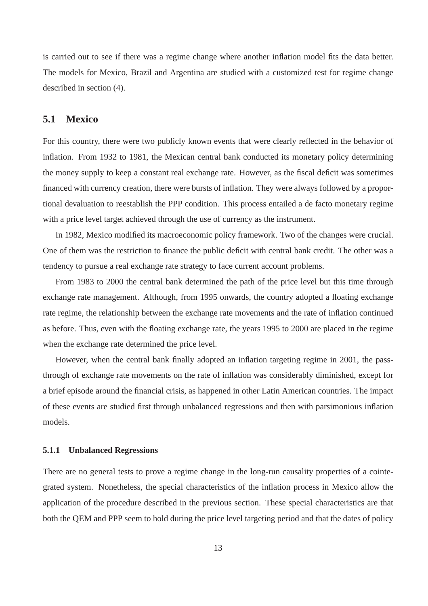is carried out to see if there was a regime change where another inflation model fits the data better. The models for Mexico, Brazil and Argentina are studied with a customized test for regime change described in section (4).

### **5.1 Mexico**

For this country, there were two publicly known events that were clearly reflected in the behavior of inflation. From 1932 to 1981, the Mexican central bank conducted its monetary policy determining the money supply to keep a constant real exchange rate. However, as the fiscal deficit was sometimes financed with currency creation, there were bursts of inflation. They were always followed by a proportional devaluation to reestablish the PPP condition. This process entailed a de facto monetary regime with a price level target achieved through the use of currency as the instrument.

In 1982, Mexico modified its macroeconomic policy framework. Two of the changes were crucial. One of them was the restriction to finance the public deficit with central bank credit. The other was a tendency to pursue a real exchange rate strategy to face current account problems.

From 1983 to 2000 the central bank determined the path of the price level but this time through exchange rate management. Although, from 1995 onwards, the country adopted a floating exchange rate regime, the relationship between the exchange rate movements and the rate of inflation continued as before. Thus, even with the floating exchange rate, the years 1995 to 2000 are placed in the regime when the exchange rate determined the price level.

However, when the central bank finally adopted an inflation targeting regime in 2001, the passthrough of exchange rate movements on the rate of inflation was considerably diminished, except for a brief episode around the financial crisis, as happened in other Latin American countries. The impact of these events are studied first through unbalanced regressions and then with parsimonious inflation models.

#### **5.1.1 Unbalanced Regressions**

There are no general tests to prove a regime change in the long-run causality properties of a cointegrated system. Nonetheless, the special characteristics of the inflation process in Mexico allow the application of the procedure described in the previous section. These special characteristics are that both the QEM and PPP seem to hold during the price level targeting period and that the dates of policy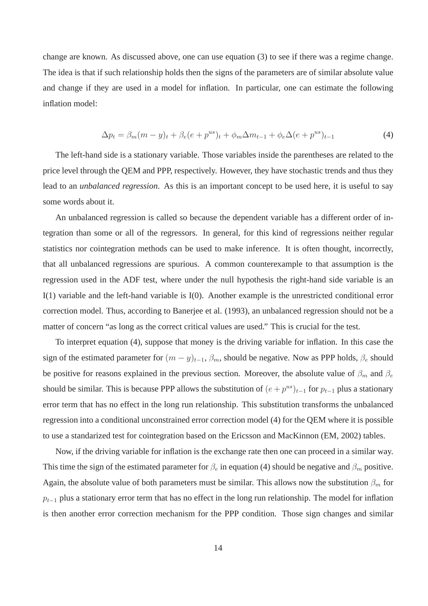change are known. As discussed above, one can use equation (3) to see if there was a regime change. The idea is that if such relationship holds then the signs of the parameters are of similar absolute value and change if they are used in a model for inflation. In particular, one can estimate the following inflation model:

$$
\Delta p_t = \beta_m (m - y)_t + \beta_e (e + p^{us})_t + \phi_m \Delta m_{t-1} + \phi_e \Delta (e + p^{us})_{t-1}
$$
(4)

The left-hand side is a stationary variable. Those variables inside the parentheses are related to the price level through the QEM and PPP, respectively. However, they have stochastic trends and thus they lead to an *unbalanced regression*. As this is an important concept to be used here, it is useful to say some words about it.

An unbalanced regression is called so because the dependent variable has a different order of integration than some or all of the regressors. In general, for this kind of regressions neither regular statistics nor cointegration methods can be used to make inference. It is often thought, incorrectly, that all unbalanced regressions are spurious. A common counterexample to that assumption is the regression used in the ADF test, where under the null hypothesis the right-hand side variable is an I(1) variable and the left-hand variable is I(0). Another example is the unrestricted conditional error correction model. Thus, according to Banerjee et al. (1993), an unbalanced regression should not be a matter of concern "as long as the correct critical values are used." This is crucial for the test.

To interpret equation (4), suppose that money is the driving variable for inflation. In this case the sign of the estimated parameter for  $(m - y)_{t-1}$ ,  $\beta_m$ , should be negative. Now as PPP holds,  $\beta_e$  should be positive for reasons explained in the previous section. Moreover, the absolute value of  $\beta_m$  and  $\beta_e$ should be similar. This is because PPP allows the substitution of  $(e + p^{us})_{t-1}$  for  $p_{t-1}$  plus a stationary error term that has no effect in the long run relationship. This substitution transforms the unbalanced regression into a conditional unconstrained error correction model (4) for the QEM where it is possible to use a standarized test for cointegration based on the Ericsson and MacKinnon (EM, 2002) tables.

Now, if the driving variable for inflation is the exchange rate then one can proceed in a similar way. This time the sign of the estimated parameter for  $\beta_e$  in equation (4) should be negative and  $\beta_m$  positive. Again, the absolute value of both parameters must be similar. This allows now the substitution  $\beta_m$  for  $p_{t-1}$  plus a stationary error term that has no effect in the long run relationship. The model for inflation is then another error correction mechanism for the PPP condition. Those sign changes and similar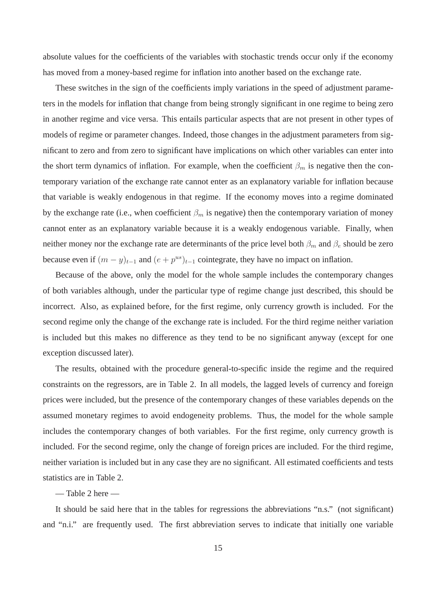absolute values for the coefficients of the variables with stochastic trends occur only if the economy has moved from a money-based regime for inflation into another based on the exchange rate.

These switches in the sign of the coefficients imply variations in the speed of adjustment parameters in the models for inflation that change from being strongly significant in one regime to being zero in another regime and vice versa. This entails particular aspects that are not present in other types of models of regime or parameter changes. Indeed, those changes in the adjustment parameters from significant to zero and from zero to significant have implications on which other variables can enter into the short term dynamics of inflation. For example, when the coefficient  $\beta_m$  is negative then the contemporary variation of the exchange rate cannot enter as an explanatory variable for inflation because that variable is weakly endogenous in that regime. If the economy moves into a regime dominated by the exchange rate (i.e., when coefficient  $\beta_m$  is negative) then the contemporary variation of money cannot enter as an explanatory variable because it is a weakly endogenous variable. Finally, when neither money nor the exchange rate are determinants of the price level both  $\beta_m$  and  $\beta_e$  should be zero because even if  $(m - y)_{t-1}$  and  $(e + p^{us})_{t-1}$  cointegrate, they have no impact on inflation.

Because of the above, only the model for the whole sample includes the contemporary changes of both variables although, under the particular type of regime change just described, this should be incorrect. Also, as explained before, for the first regime, only currency growth is included. For the second regime only the change of the exchange rate is included. For the third regime neither variation is included but this makes no difference as they tend to be no significant anyway (except for one exception discussed later).

The results, obtained with the procedure general-to-specific inside the regime and the required constraints on the regressors, are in Table 2. In all models, the lagged levels of currency and foreign prices were included, but the presence of the contemporary changes of these variables depends on the assumed monetary regimes to avoid endogeneity problems. Thus, the model for the whole sample includes the contemporary changes of both variables. For the first regime, only currency growth is included. For the second regime, only the change of foreign prices are included. For the third regime, neither variation is included but in any case they are no significant. All estimated coefficients and tests statistics are in Table 2.

— Table 2 here —

It should be said here that in the tables for regressions the abbreviations "n.s." (not significant) and "n.i." are frequently used. The first abbreviation serves to indicate that initially one variable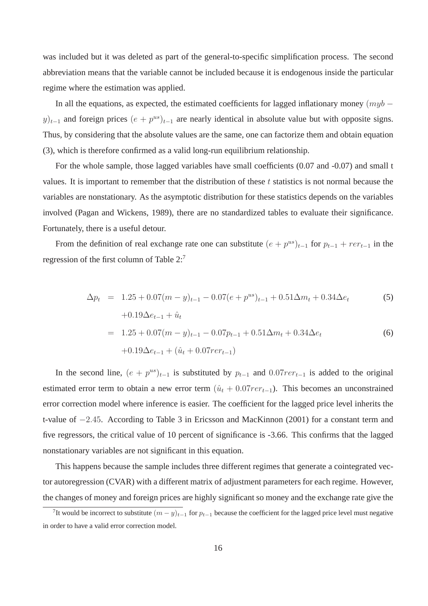was included but it was deleted as part of the general-to-specific simplification process. The second abbreviation means that the variable cannot be included because it is endogenous inside the particular regime where the estimation was applied.

In all the equations, as expected, the estimated coefficients for lagged inflationary money  $(myb$  $y)_{t-1}$  and foreign prices  $(e + p^{us})_{t-1}$  are nearly identical in absolute value but with opposite signs. Thus, by considering that the absolute values are the same, one can factorize them and obtain equation (3), which is therefore confirmed as a valid long-run equilibrium relationship.

For the whole sample, those lagged variables have small coefficients (0.07 and -0.07) and small t values. It is important to remember that the distribution of these  $t$  statistics is not normal because the variables are nonstationary. As the asymptotic distribution for these statistics depends on the variables involved (Pagan and Wickens, 1989), there are no standardized tables to evaluate their significance. Fortunately, there is a useful detour.

From the definition of real exchange rate one can substitute  $(e + p^{us})_{t-1}$  for  $p_{t-1} + rer_{t-1}$  in the regression of the first column of Table 2:<sup>7</sup>

$$
\Delta p_t = 1.25 + 0.07(m - y)_{t-1} - 0.07(e + p^{us})_{t-1} + 0.51\Delta m_t + 0.34\Delta e_t
$$
  
\n
$$
+ 0.19\Delta e_{t-1} + \hat{u}_t
$$
  
\n
$$
= 1.25 + 0.07(m - y)_{t-1} - 0.07p_{t-1} + 0.51\Delta m_t + 0.34\Delta e_t
$$
  
\n
$$
+ 0.19\Delta e_{t-1} + (\hat{u}_t + 0.07rer_{t-1})
$$
  
\n(6)

In the second line,  $(e + p^{us})_{t-1}$  is substituted by  $p_{t-1}$  and  $0.07rer_{t-1}$  is added to the original estimated error term to obtain a new error term  $(\hat{u}_t + 0.07r_{t-1})$ . This becomes an unconstrained error correction model where inference is easier. The coefficient for the lagged price level inherits the t-value of −2.45. According to Table 3 in Ericsson and MacKinnon (2001) for a constant term and five regressors, the critical value of 10 percent of significance is -3.66. This confirms that the lagged nonstationary variables are not significant in this equation.

This happens because the sample includes three different regimes that generate a cointegrated vector autoregression (CVAR) with a different matrix of adjustment parameters for each regime. However, the changes of money and foreign prices are highly significant so money and the exchange rate give the

<sup>&</sup>lt;sup>7</sup>It would be incorrect to substitute  $(m - y)_{t-1}$  for  $p_{t-1}$  because the coefficient for the lagged price level must negative in order to have a valid error correction model.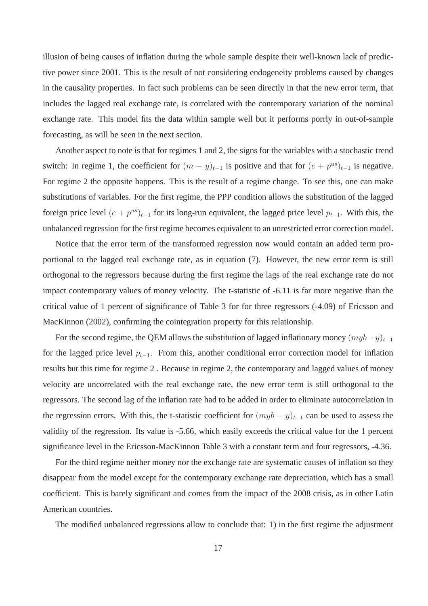illusion of being causes of inflation during the whole sample despite their well-known lack of predictive power since 2001. This is the result of not considering endogeneity problems caused by changes in the causality properties. In fact such problems can be seen directly in that the new error term, that includes the lagged real exchange rate, is correlated with the contemporary variation of the nominal exchange rate. This model fits the data within sample well but it performs porrly in out-of-sample forecasting, as will be seen in the next section.

Another aspect to note is that for regimes 1 and 2, the signs for the variables with a stochastic trend switch: In regime 1, the coefficient for  $(m - y)_{t-1}$  is positive and that for  $(e + p^{us})_{t-1}$  is negative. For regime 2 the opposite happens. This is the result of a regime change. To see this, one can make substitutions of variables. For the first regime, the PPP condition allows the substitution of the lagged foreign price level  $(e + p^{us})_{t-1}$  for its long-run equivalent, the lagged price level  $p_{t-1}$ . With this, the unbalanced regression for the first regime becomes equivalent to an unrestricted error correction model.

Notice that the error term of the transformed regression now would contain an added term proportional to the lagged real exchange rate, as in equation (7). However, the new error term is still orthogonal to the regressors because during the first regime the lags of the real exchange rate do not impact contemporary values of money velocity. The t-statistic of -6.11 is far more negative than the critical value of 1 percent of significance of Table 3 for for three regressors (-4.09) of Ericsson and MacKinnon (2002), confirming the cointegration property for this relationship.

For the second regime, the QEM allows the substitution of lagged inflationary money  $(myb-y)_{t-1}$ for the lagged price level  $p_{t-1}$ . From this, another conditional error correction model for inflation results but this time for regime 2 . Because in regime 2, the contemporary and lagged values of money velocity are uncorrelated with the real exchange rate, the new error term is still orthogonal to the regressors. The second lag of the inflation rate had to be added in order to eliminate autocorrelation in the regression errors. With this, the t-statistic coefficient for  $(myb - y)_{t-1}$  can be used to assess the validity of the regression. Its value is -5.66, which easily exceeds the critical value for the 1 percent significance level in the Ericsson-MacKinnon Table 3 with a constant term and four regressors, -4.36.

For the third regime neither money nor the exchange rate are systematic causes of inflation so they disappear from the model except for the contemporary exchange rate depreciation, which has a small coefficient. This is barely significant and comes from the impact of the 2008 crisis, as in other Latin American countries.

The modified unbalanced regressions allow to conclude that: 1) in the first regime the adjustment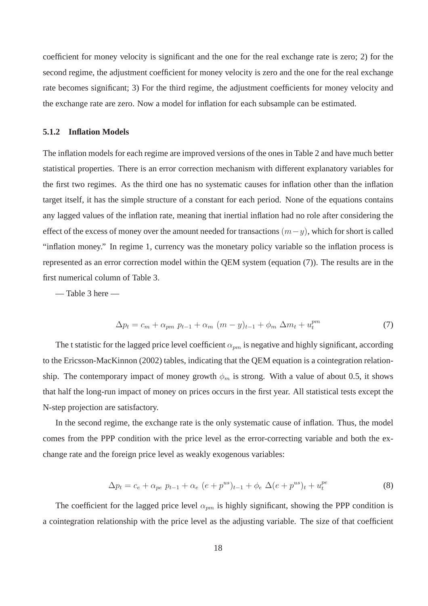coefficient for money velocity is significant and the one for the real exchange rate is zero; 2) for the second regime, the adjustment coefficient for money velocity is zero and the one for the real exchange rate becomes significant; 3) For the third regime, the adjustment coefficients for money velocity and the exchange rate are zero. Now a model for inflation for each subsample can be estimated.

#### **5.1.2 Inflation Models**

The inflation models for each regime are improved versions of the ones in Table 2 and have much better statistical properties. There is an error correction mechanism with different explanatory variables for the first two regimes. As the third one has no systematic causes for inflation other than the inflation target itself, it has the simple structure of a constant for each period. None of the equations contains any lagged values of the inflation rate, meaning that inertial inflation had no role after considering the effect of the excess of money over the amount needed for transactions  $(m-y)$ , which for short is called "inflation money." In regime 1, currency was the monetary policy variable so the inflation process is represented as an error correction model within the QEM system (equation (7)). The results are in the first numerical column of Table 3.

— Table 3 here —

$$
\Delta p_t = c_m + \alpha_{pm} \ p_{t-1} + \alpha_m \ (m - y)_{t-1} + \phi_m \ \Delta m_t + u_t^{pm}
$$
\n(7)

The t statistic for the lagged price level coefficient  $\alpha_{pm}$  is negative and highly significant, according to the Ericsson-MacKinnon (2002) tables, indicating that the QEM equation is a cointegration relationship. The contemporary impact of money growth  $\phi_m$  is strong. With a value of about 0.5, it shows that half the long-run impact of money on prices occurs in the first year. All statistical tests except the N-step projection are satisfactory.

In the second regime, the exchange rate is the only systematic cause of inflation. Thus, the model comes from the PPP condition with the price level as the error-correcting variable and both the exchange rate and the foreign price level as weakly exogenous variables:

$$
\Delta p_t = c_e + \alpha_{pe} \ p_{t-1} + \alpha_e \ (e + p^{us})_{t-1} + \phi_e \ \Delta (e + p^{us})_t + u_t^{pe}
$$
\n<sup>(8)</sup>

The coefficient for the lagged price level  $\alpha_{pm}$  is highly significant, showing the PPP condition is a cointegration relationship with the price level as the adjusting variable. The size of that coefficient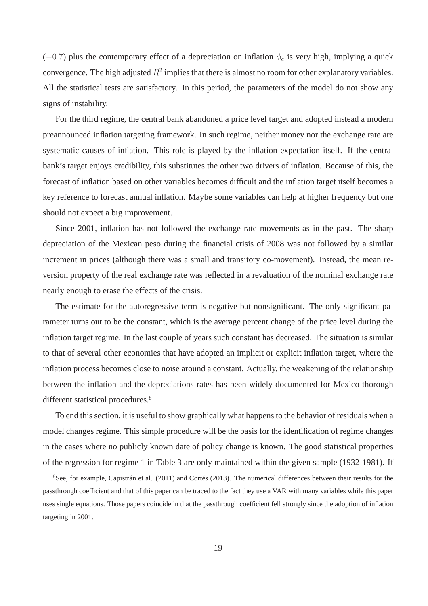(-0.7) plus the contemporary effect of a depreciation on inflation  $\phi_e$  is very high, implying a quick convergence. The high adjusted  $R^2$  implies that there is almost no room for other explanatory variables. All the statistical tests are satisfactory. In this period, the parameters of the model do not show any signs of instability.

For the third regime, the central bank abandoned a price level target and adopted instead a modern preannounced inflation targeting framework. In such regime, neither money nor the exchange rate are systematic causes of inflation. This role is played by the inflation expectation itself. If the central bank's target enjoys credibility, this substitutes the other two drivers of inflation. Because of this, the forecast of inflation based on other variables becomes difficult and the inflation target itself becomes a key reference to forecast annual inflation. Maybe some variables can help at higher frequency but one should not expect a big improvement.

Since 2001, inflation has not followed the exchange rate movements as in the past. The sharp depreciation of the Mexican peso during the financial crisis of 2008 was not followed by a similar increment in prices (although there was a small and transitory co-movement). Instead, the mean reversion property of the real exchange rate was reflected in a revaluation of the nominal exchange rate nearly enough to erase the effects of the crisis.

The estimate for the autoregressive term is negative but nonsignificant. The only significant parameter turns out to be the constant, which is the average percent change of the price level during the inflation target regime. In the last couple of years such constant has decreased. The situation is similar to that of several other economies that have adopted an implicit or explicit inflation target, where the inflation process becomes close to noise around a constant. Actually, the weakening of the relationship between the inflation and the depreciations rates has been widely documented for Mexico thorough different statistical procedures.<sup>8</sup>

To end this section, it is useful to show graphically what happens to the behavior of residuals when a model changes regime. This simple procedure will be the basis for the identification of regime changes in the cases where no publicly known date of policy change is known. The good statistical properties of the regression for regime 1 in Table 3 are only maintained within the given sample (1932-1981). If

 $8$ See, for example, Capistrán et al. (2011) and Cortés (2013). The numerical differences between their results for the passthrough coefficient and that of this paper can be traced to the fact they use a VAR with many variables while this paper uses single equations. Those papers coincide in that the passthrough coefficient fell strongly since the adoption of inflation targeting in 2001.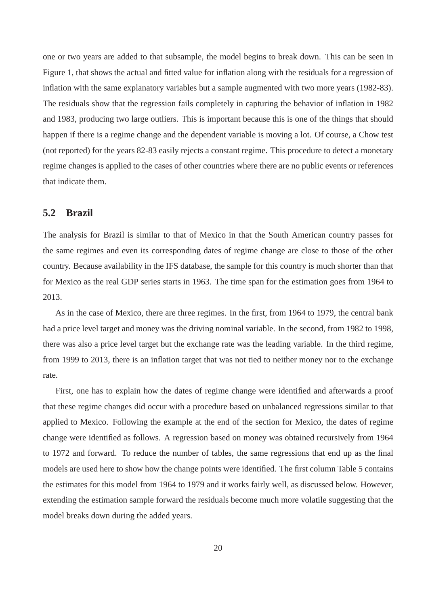one or two years are added to that subsample, the model begins to break down. This can be seen in Figure 1, that shows the actual and fitted value for inflation along with the residuals for a regression of inflation with the same explanatory variables but a sample augmented with two more years (1982-83). The residuals show that the regression fails completely in capturing the behavior of inflation in 1982 and 1983, producing two large outliers. This is important because this is one of the things that should happen if there is a regime change and the dependent variable is moving a lot. Of course, a Chow test (not reported) for the years 82-83 easily rejects a constant regime. This procedure to detect a monetary regime changes is applied to the cases of other countries where there are no public events or references that indicate them.

### **5.2 Brazil**

The analysis for Brazil is similar to that of Mexico in that the South American country passes for the same regimes and even its corresponding dates of regime change are close to those of the other country. Because availability in the IFS database, the sample for this country is much shorter than that for Mexico as the real GDP series starts in 1963. The time span for the estimation goes from 1964 to 2013.

As in the case of Mexico, there are three regimes. In the first, from 1964 to 1979, the central bank had a price level target and money was the driving nominal variable. In the second, from 1982 to 1998, there was also a price level target but the exchange rate was the leading variable. In the third regime, from 1999 to 2013, there is an inflation target that was not tied to neither money nor to the exchange rate.

First, one has to explain how the dates of regime change were identified and afterwards a proof that these regime changes did occur with a procedure based on unbalanced regressions similar to that applied to Mexico. Following the example at the end of the section for Mexico, the dates of regime change were identified as follows. A regression based on money was obtained recursively from 1964 to 1972 and forward. To reduce the number of tables, the same regressions that end up as the final models are used here to show how the change points were identified. The first column Table 5 contains the estimates for this model from 1964 to 1979 and it works fairly well, as discussed below. However, extending the estimation sample forward the residuals become much more volatile suggesting that the model breaks down during the added years.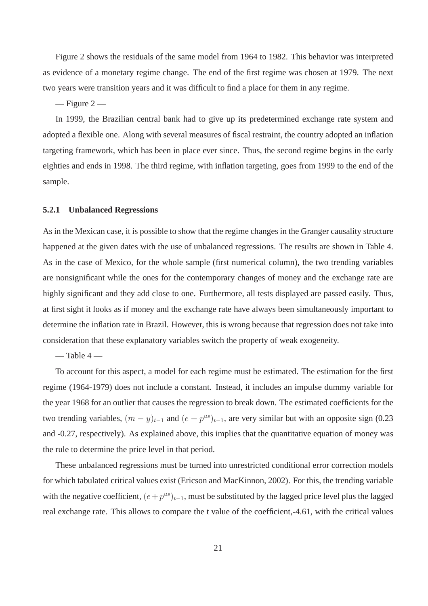Figure 2 shows the residuals of the same model from 1964 to 1982. This behavior was interpreted as evidence of a monetary regime change. The end of the first regime was chosen at 1979. The next two years were transition years and it was difficult to find a place for them in any regime.

 $-$  Figure 2  $-$ 

In 1999, the Brazilian central bank had to give up its predetermined exchange rate system and adopted a flexible one. Along with several measures of fiscal restraint, the country adopted an inflation targeting framework, which has been in place ever since. Thus, the second regime begins in the early eighties and ends in 1998. The third regime, with inflation targeting, goes from 1999 to the end of the sample.

#### **5.2.1 Unbalanced Regressions**

As in the Mexican case, it is possible to show that the regime changes in the Granger causality structure happened at the given dates with the use of unbalanced regressions. The results are shown in Table 4. As in the case of Mexico, for the whole sample (first numerical column), the two trending variables are nonsignificant while the ones for the contemporary changes of money and the exchange rate are highly significant and they add close to one. Furthermore, all tests displayed are passed easily. Thus, at first sight it looks as if money and the exchange rate have always been simultaneously important to determine the inflation rate in Brazil. However, this is wrong because that regression does not take into consideration that these explanatory variables switch the property of weak exogeneity.

 $-$  Table 4  $-$ 

To account for this aspect, a model for each regime must be estimated. The estimation for the first regime (1964-1979) does not include a constant. Instead, it includes an impulse dummy variable for the year 1968 for an outlier that causes the regression to break down. The estimated coefficients for the two trending variables,  $(m - y)_{t-1}$  and  $(e + p^{us})_{t-1}$ , are very similar but with an opposite sign (0.23) and -0.27, respectively). As explained above, this implies that the quantitative equation of money was the rule to determine the price level in that period.

These unbalanced regressions must be turned into unrestricted conditional error correction models for which tabulated critical values exist (Ericson and MacKinnon, 2002). For this, the trending variable with the negative coefficient,  $(e + p^{us})_{t-1}$ , must be substituted by the lagged price level plus the lagged real exchange rate. This allows to compare the t value of the coefficient,-4.61, with the critical values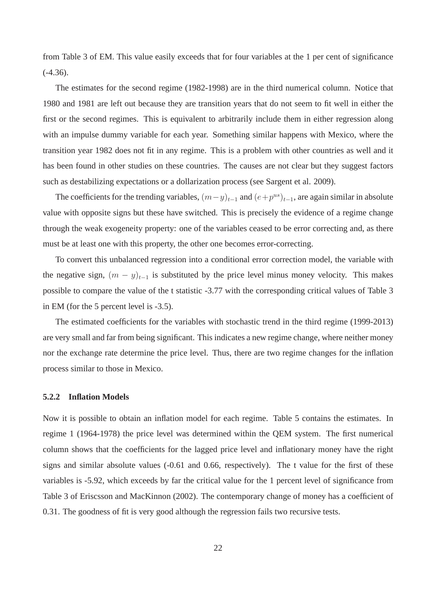from Table 3 of EM. This value easily exceeds that for four variables at the 1 per cent of significance  $(-4.36)$ .

The estimates for the second regime (1982-1998) are in the third numerical column. Notice that 1980 and 1981 are left out because they are transition years that do not seem to fit well in either the first or the second regimes. This is equivalent to arbitrarily include them in either regression along with an impulse dummy variable for each year. Something similar happens with Mexico, where the transition year 1982 does not fit in any regime. This is a problem with other countries as well and it has been found in other studies on these countries. The causes are not clear but they suggest factors such as destabilizing expectations or a dollarization process (see Sargent et al. 2009).

The coefficients for the trending variables,  $(m-y)_{t-1}$  and  $(e+p^{us})_{t-1}$ , are again similar in absolute value with opposite signs but these have switched. This is precisely the evidence of a regime change through the weak exogeneity property: one of the variables ceased to be error correcting and, as there must be at least one with this property, the other one becomes error-correcting.

To convert this unbalanced regression into a conditional error correction model, the variable with the negative sign,  $(m - y)_{t-1}$  is substituted by the price level minus money velocity. This makes possible to compare the value of the t statistic -3.77 with the corresponding critical values of Table 3 in EM (for the 5 percent level is -3.5).

The estimated coefficients for the variables with stochastic trend in the third regime (1999-2013) are very small and far from being significant. This indicates a new regime change, where neither money nor the exchange rate determine the price level. Thus, there are two regime changes for the inflation process similar to those in Mexico.

#### **5.2.2 Inflation Models**

Now it is possible to obtain an inflation model for each regime. Table 5 contains the estimates. In regime 1 (1964-1978) the price level was determined within the QEM system. The first numerical column shows that the coefficients for the lagged price level and inflationary money have the right signs and similar absolute values (-0.61 and 0.66, respectively). The t value for the first of these variables is -5.92, which exceeds by far the critical value for the 1 percent level of significance from Table 3 of Eriscsson and MacKinnon (2002). The contemporary change of money has a coefficient of 0.31. The goodness of fit is very good although the regression fails two recursive tests.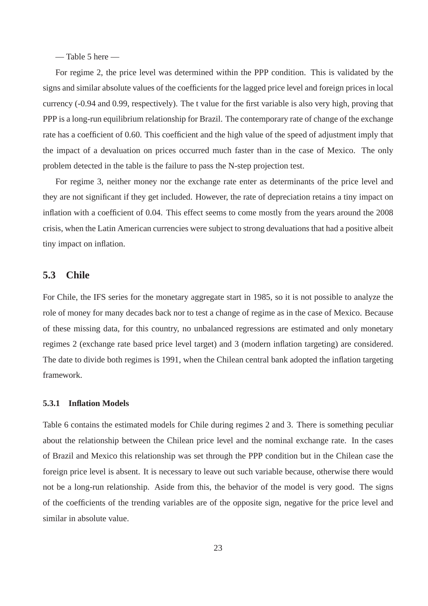$-$  Table 5 here  $-$ 

For regime 2, the price level was determined within the PPP condition. This is validated by the signs and similar absolute values of the coefficients for the lagged price level and foreign prices in local currency (-0.94 and 0.99, respectively). The t value for the first variable is also very high, proving that PPP is a long-run equilibrium relationship for Brazil. The contemporary rate of change of the exchange rate has a coefficient of 0.60. This coefficient and the high value of the speed of adjustment imply that the impact of a devaluation on prices occurred much faster than in the case of Mexico. The only problem detected in the table is the failure to pass the N-step projection test.

For regime 3, neither money nor the exchange rate enter as determinants of the price level and they are not significant if they get included. However, the rate of depreciation retains a tiny impact on inflation with a coefficient of 0.04. This effect seems to come mostly from the years around the 2008 crisis, when the Latin American currencies were subject to strong devaluations that had a positive albeit tiny impact on inflation.

### **5.3 Chile**

For Chile, the IFS series for the monetary aggregate start in 1985, so it is not possible to analyze the role of money for many decades back nor to test a change of regime as in the case of Mexico. Because of these missing data, for this country, no unbalanced regressions are estimated and only monetary regimes 2 (exchange rate based price level target) and 3 (modern inflation targeting) are considered. The date to divide both regimes is 1991, when the Chilean central bank adopted the inflation targeting framework.

#### **5.3.1 Inflation Models**

Table 6 contains the estimated models for Chile during regimes 2 and 3. There is something peculiar about the relationship between the Chilean price level and the nominal exchange rate. In the cases of Brazil and Mexico this relationship was set through the PPP condition but in the Chilean case the foreign price level is absent. It is necessary to leave out such variable because, otherwise there would not be a long-run relationship. Aside from this, the behavior of the model is very good. The signs of the coefficients of the trending variables are of the opposite sign, negative for the price level and similar in absolute value.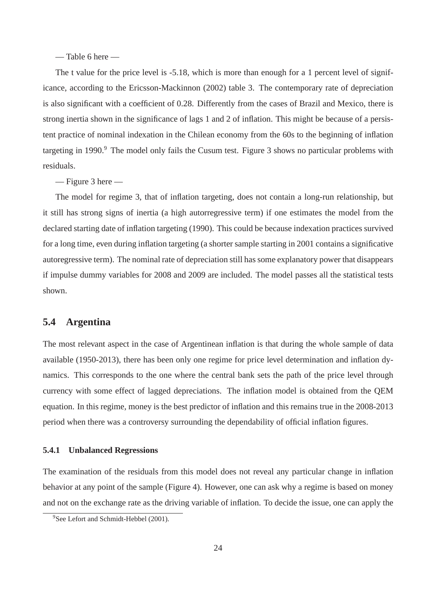— Table 6 here —

The t value for the price level is -5.18, which is more than enough for a 1 percent level of significance, according to the Ericsson-Mackinnon (2002) table 3. The contemporary rate of depreciation is also significant with a coefficient of 0.28. Differently from the cases of Brazil and Mexico, there is strong inertia shown in the significance of lags 1 and 2 of inflation. This might be because of a persistent practice of nominal indexation in the Chilean economy from the 60s to the beginning of inflation targeting in 1990.<sup>9</sup> The model only fails the Cusum test. Figure 3 shows no particular problems with residuals.

— Figure 3 here —

The model for regime 3, that of inflation targeting, does not contain a long-run relationship, but it still has strong signs of inertia (a high autorregressive term) if one estimates the model from the declared starting date of inflation targeting (1990). This could be because indexation practices survived for a long time, even during inflation targeting (a shorter sample starting in 2001 contains a significative autoregressive term). The nominal rate of depreciation still has some explanatory power that disappears if impulse dummy variables for 2008 and 2009 are included. The model passes all the statistical tests shown.

### **5.4 Argentina**

The most relevant aspect in the case of Argentinean inflation is that during the whole sample of data available (1950-2013), there has been only one regime for price level determination and inflation dynamics. This corresponds to the one where the central bank sets the path of the price level through currency with some effect of lagged depreciations. The inflation model is obtained from the QEM equation. In this regime, money is the best predictor of inflation and this remains true in the 2008-2013 period when there was a controversy surrounding the dependability of official inflation figures.

#### **5.4.1 Unbalanced Regressions**

The examination of the residuals from this model does not reveal any particular change in inflation behavior at any point of the sample (Figure 4). However, one can ask why a regime is based on money and not on the exchange rate as the driving variable of inflation. To decide the issue, one can apply the

<sup>&</sup>lt;sup>9</sup>See Lefort and Schmidt-Hebbel (2001).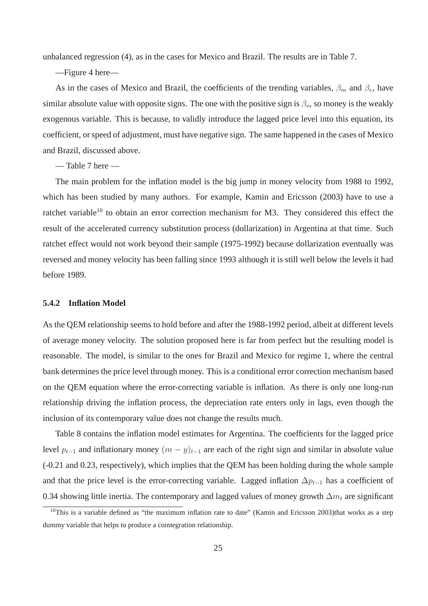unbalanced regression (4), as in the cases for Mexico and Brazil. The results are in Table 7.

—Figure 4 here—

As in the cases of Mexico and Brazil, the coefficients of the trending variables,  $\beta_m$  and  $\beta_e$ , have similar absolute value with opposite signs. The one with the positive sign is  $\beta_m$  so money is the weakly exogenous variable. This is because, to validly introduce the lagged price level into this equation, its coefficient, or speed of adjustment, must have negative sign. The same happened in the cases of Mexico and Brazil, discussed above.

— Table 7 here —

The main problem for the inflation model is the big jump in money velocity from 1988 to 1992, which has been studied by many authors. For example, Kamin and Ericsson (2003) have to use a ratchet variable<sup>10</sup> to obtain an error correction mechanism for M3. They considered this effect the result of the accelerated currency substitution process (dollarization) in Argentina at that time. Such ratchet effect would not work beyond their sample (1975-1992) because dollarization eventually was reversed and money velocity has been falling since 1993 although it is still well below the levels it had before 1989.

#### **5.4.2 Inflation Model**

As the QEM relationship seems to hold before and after the 1988-1992 period, albeit at different levels of average money velocity. The solution proposed here is far from perfect but the resulting model is reasonable. The model, is similar to the ones for Brazil and Mexico for regime 1, where the central bank determines the price level through money. This is a conditional error correction mechanism based on the QEM equation where the error-correcting variable is inflation. As there is only one long-run relationship driving the inflation process, the depreciation rate enters only in lags, even though the inclusion of its contemporary value does not change the results much.

Table 8 contains the inflation model estimates for Argentina. The coefficients for the lagged price level  $p_{t-1}$  and inflationary money  $(m - y)_{t-1}$  are each of the right sign and similar in absolute value (-0.21 and 0.23, respectively), which implies that the QEM has been holding during the whole sample and that the price level is the error-correcting variable. Lagged inflation  $\Delta p_{t-1}$  has a coefficient of 0.34 showing little inertia. The contemporary and lagged values of money growth  $\Delta m_t$  are significant

 $10$ This is a variable defined as "the maximum inflation rate to date" (Kamin and Ericsson 2003)that works as a step dummy variable that helps to produce a cointegration relationship.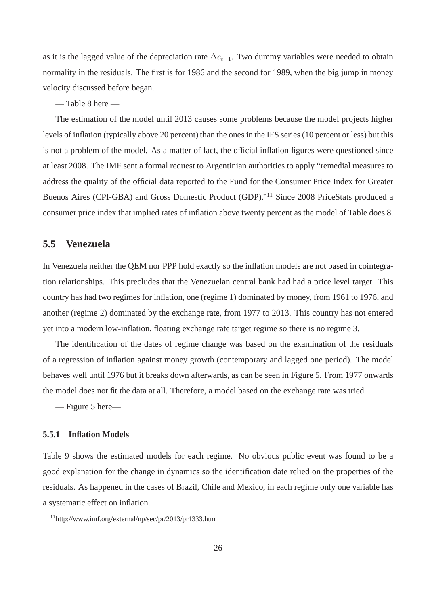as it is the lagged value of the depreciation rate  $\Delta e_{t-1}$ . Two dummy variables were needed to obtain normality in the residuals. The first is for 1986 and the second for 1989, when the big jump in money velocity discussed before began.

— Table 8 here —

The estimation of the model until 2013 causes some problems because the model projects higher levels of inflation (typically above 20 percent) than the ones in the IFS series (10 percent or less) but this is not a problem of the model. As a matter of fact, the official inflation figures were questioned since at least 2008. The IMF sent a formal request to Argentinian authorities to apply "remedial measures to address the quality of the official data reported to the Fund for the Consumer Price Index for Greater Buenos Aires (CPI-GBA) and Gross Domestic Product (GDP)."<sup>11</sup> Since 2008 PriceStats produced a consumer price index that implied rates of inflation above twenty percent as the model of Table does 8.

### **5.5 Venezuela**

In Venezuela neither the QEM nor PPP hold exactly so the inflation models are not based in cointegration relationships. This precludes that the Venezuelan central bank had had a price level target. This country has had two regimes for inflation, one (regime 1) dominated by money, from 1961 to 1976, and another (regime 2) dominated by the exchange rate, from 1977 to 2013. This country has not entered yet into a modern low-inflation, floating exchange rate target regime so there is no regime 3.

The identification of the dates of regime change was based on the examination of the residuals of a regression of inflation against money growth (contemporary and lagged one period). The model behaves well until 1976 but it breaks down afterwards, as can be seen in Figure 5. From 1977 onwards the model does not fit the data at all. Therefore, a model based on the exchange rate was tried.

— Figure 5 here—

#### **5.5.1 Inflation Models**

Table 9 shows the estimated models for each regime. No obvious public event was found to be a good explanation for the change in dynamics so the identification date relied on the properties of the residuals. As happened in the cases of Brazil, Chile and Mexico, in each regime only one variable has a systematic effect on inflation.

<sup>11</sup>http://www.imf.org/external/np/sec/pr/2013/pr1333.htm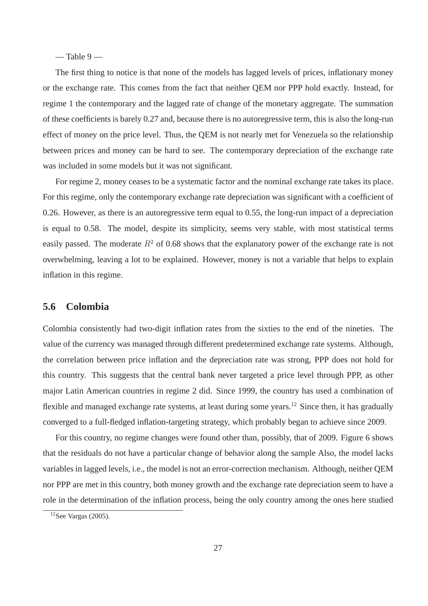$-$  Table 9 $-$ 

The first thing to notice is that none of the models has lagged levels of prices, inflationary money or the exchange rate. This comes from the fact that neither QEM nor PPP hold exactly. Instead, for regime 1 the contemporary and the lagged rate of change of the monetary aggregate. The summation of these coefficients is barely 0.27 and, because there is no autoregressive term, this is also the long-run effect of money on the price level. Thus, the QEM is not nearly met for Venezuela so the relationship between prices and money can be hard to see. The contemporary depreciation of the exchange rate was included in some models but it was not significant.

For regime 2, money ceases to be a systematic factor and the nominal exchange rate takes its place. For this regime, only the contemporary exchange rate depreciation was significant with a coefficient of 0.26. However, as there is an autoregressive term equal to 0.55, the long-run impact of a depreciation is equal to 0.58. The model, despite its simplicity, seems very stable, with most statistical terms easily passed. The moderate  $R^2$  of 0.68 shows that the explanatory power of the exchange rate is not overwhelming, leaving a lot to be explained. However, money is not a variable that helps to explain inflation in this regime.

### **5.6 Colombia**

Colombia consistently had two-digit inflation rates from the sixties to the end of the nineties. The value of the currency was managed through different predetermined exchange rate systems. Although, the correlation between price inflation and the depreciation rate was strong, PPP does not hold for this country. This suggests that the central bank never targeted a price level through PPP, as other major Latin American countries in regime 2 did. Since 1999, the country has used a combination of flexible and managed exchange rate systems, at least during some years.<sup>12</sup> Since then, it has gradually converged to a full-fledged inflation-targeting strategy, which probably began to achieve since 2009.

For this country, no regime changes were found other than, possibly, that of 2009. Figure 6 shows that the residuals do not have a particular change of behavior along the sample Also, the model lacks variables in lagged levels, i.e., the model is not an error-correction mechanism. Although, neither QEM nor PPP are met in this country, both money growth and the exchange rate depreciation seem to have a role in the determination of the inflation process, being the only country among the ones here studied

 $12$ See Vargas (2005).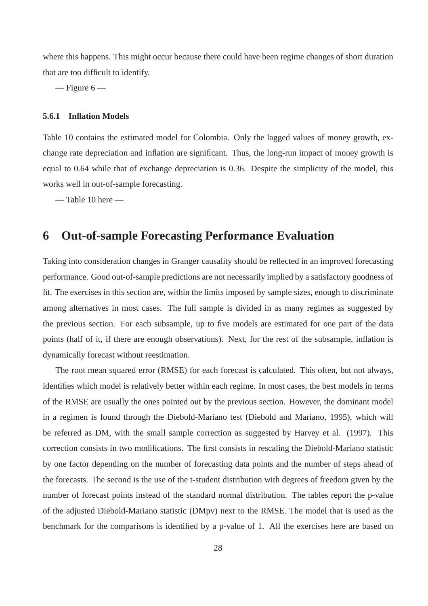where this happens. This might occur because there could have been regime changes of short duration that are too difficult to identify.

 $-$  Figure 6  $-$ 

#### **5.6.1 Inflation Models**

Table 10 contains the estimated model for Colombia. Only the lagged values of money growth, exchange rate depreciation and inflation are significant. Thus, the long-run impact of money growth is equal to 0.64 while that of exchange depreciation is 0.36. Despite the simplicity of the model, this works well in out-of-sample forecasting.

— Table 10 here —

# **6 Out-of-sample Forecasting Performance Evaluation**

Taking into consideration changes in Granger causality should be reflected in an improved forecasting performance. Good out-of-sample predictions are not necessarily implied by a satisfactory goodness of fit. The exercises in this section are, within the limits imposed by sample sizes, enough to discriminate among alternatives in most cases. The full sample is divided in as many regimes as suggested by the previous section. For each subsample, up to five models are estimated for one part of the data points (half of it, if there are enough observations). Next, for the rest of the subsample, inflation is dynamically forecast without reestimation.

The root mean squared error (RMSE) for each forecast is calculated. This often, but not always, identifies which model is relatively better within each regime. In most cases, the best models in terms of the RMSE are usually the ones pointed out by the previous section. However, the dominant model in a regimen is found through the Diebold-Mariano test (Diebold and Mariano, 1995), which will be referred as DM, with the small sample correction as suggested by Harvey et al. (1997). This correction consists in two modifications. The first consists in rescaling the Diebold-Mariano statistic by one factor depending on the number of forecasting data points and the number of steps ahead of the forecasts. The second is the use of the t-student distribution with degrees of freedom given by the number of forecast points instead of the standard normal distribution. The tables report the p-value of the adjusted Diebold-Mariano statistic (DMpv) next to the RMSE. The model that is used as the benchmark for the comparisons is identified by a p-value of 1. All the exercises here are based on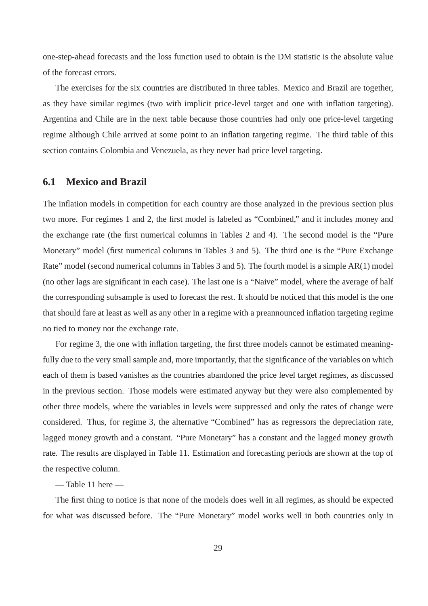one-step-ahead forecasts and the loss function used to obtain is the DM statistic is the absolute value of the forecast errors.

The exercises for the six countries are distributed in three tables. Mexico and Brazil are together, as they have similar regimes (two with implicit price-level target and one with inflation targeting). Argentina and Chile are in the next table because those countries had only one price-level targeting regime although Chile arrived at some point to an inflation targeting regime. The third table of this section contains Colombia and Venezuela, as they never had price level targeting.

### **6.1 Mexico and Brazil**

The inflation models in competition for each country are those analyzed in the previous section plus two more. For regimes 1 and 2, the first model is labeled as "Combined," and it includes money and the exchange rate (the first numerical columns in Tables 2 and 4). The second model is the "Pure Monetary" model (first numerical columns in Tables 3 and 5). The third one is the "Pure Exchange Rate" model (second numerical columns in Tables 3 and 5). The fourth model is a simple AR(1) model (no other lags are significant in each case). The last one is a "Naive" model, where the average of half the corresponding subsample is used to forecast the rest. It should be noticed that this model is the one that should fare at least as well as any other in a regime with a preannounced inflation targeting regime no tied to money nor the exchange rate.

For regime 3, the one with inflation targeting, the first three models cannot be estimated meaningfully due to the very small sample and, more importantly, that the significance of the variables on which each of them is based vanishes as the countries abandoned the price level target regimes, as discussed in the previous section. Those models were estimated anyway but they were also complemented by other three models, where the variables in levels were suppressed and only the rates of change were considered. Thus, for regime 3, the alternative "Combined" has as regressors the depreciation rate, lagged money growth and a constant. "Pure Monetary" has a constant and the lagged money growth rate. The results are displayed in Table 11. Estimation and forecasting periods are shown at the top of the respective column.

— Table 11 here —

The first thing to notice is that none of the models does well in all regimes, as should be expected for what was discussed before. The "Pure Monetary" model works well in both countries only in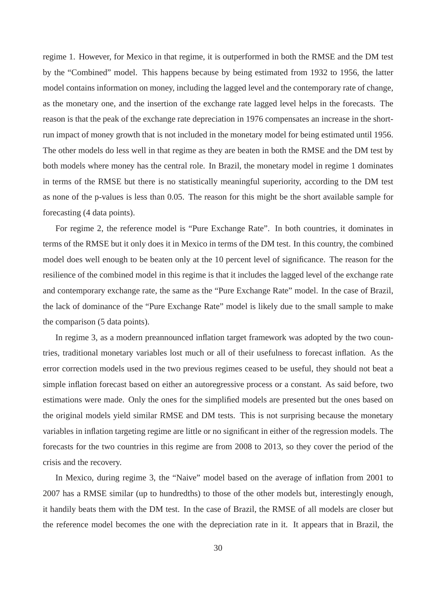regime 1. However, for Mexico in that regime, it is outperformed in both the RMSE and the DM test by the "Combined" model. This happens because by being estimated from 1932 to 1956, the latter model contains information on money, including the lagged level and the contemporary rate of change, as the monetary one, and the insertion of the exchange rate lagged level helps in the forecasts. The reason is that the peak of the exchange rate depreciation in 1976 compensates an increase in the shortrun impact of money growth that is not included in the monetary model for being estimated until 1956. The other models do less well in that regime as they are beaten in both the RMSE and the DM test by both models where money has the central role. In Brazil, the monetary model in regime 1 dominates in terms of the RMSE but there is no statistically meaningful superiority, according to the DM test as none of the p-values is less than 0.05. The reason for this might be the short available sample for forecasting (4 data points).

For regime 2, the reference model is "Pure Exchange Rate". In both countries, it dominates in terms of the RMSE but it only does it in Mexico in terms of the DM test. In this country, the combined model does well enough to be beaten only at the 10 percent level of significance. The reason for the resilience of the combined model in this regime is that it includes the lagged level of the exchange rate and contemporary exchange rate, the same as the "Pure Exchange Rate" model. In the case of Brazil, the lack of dominance of the "Pure Exchange Rate" model is likely due to the small sample to make the comparison (5 data points).

In regime 3, as a modern preannounced inflation target framework was adopted by the two countries, traditional monetary variables lost much or all of their usefulness to forecast inflation. As the error correction models used in the two previous regimes ceased to be useful, they should not beat a simple inflation forecast based on either an autoregressive process or a constant. As said before, two estimations were made. Only the ones for the simplified models are presented but the ones based on the original models yield similar RMSE and DM tests. This is not surprising because the monetary variables in inflation targeting regime are little or no significant in either of the regression models. The forecasts for the two countries in this regime are from 2008 to 2013, so they cover the period of the crisis and the recovery.

In Mexico, during regime 3, the "Naive" model based on the average of inflation from 2001 to 2007 has a RMSE similar (up to hundredths) to those of the other models but, interestingly enough, it handily beats them with the DM test. In the case of Brazil, the RMSE of all models are closer but the reference model becomes the one with the depreciation rate in it. It appears that in Brazil, the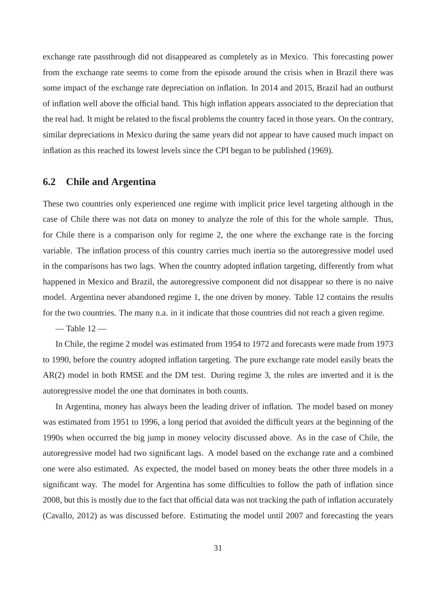exchange rate passthrough did not disappeared as completely as in Mexico. This forecasting power from the exchange rate seems to come from the episode around the crisis when in Brazil there was some impact of the exchange rate depreciation on inflation. In 2014 and 2015, Brazil had an outburst of inflation well above the official band. This high inflation appears associated to the depreciation that the real had. It might be related to the fiscal problems the country faced in those years. On the contrary, similar depreciations in Mexico during the same years did not appear to have caused much impact on inflation as this reached its lowest levels since the CPI began to be published (1969).

### **6.2 Chile and Argentina**

These two countries only experienced one regime with implicit price level targeting although in the case of Chile there was not data on money to analyze the role of this for the whole sample. Thus, for Chile there is a comparison only for regime 2, the one where the exchange rate is the forcing variable. The inflation process of this country carries much inertia so the autoregressive model used in the comparisons has two lags. When the country adopted inflation targeting, differently from what happened in Mexico and Brazil, the autoregressive component did not disappear so there is no naive model. Argentina never abandoned regime 1, the one driven by money. Table 12 contains the results for the two countries. The many n.a. in it indicate that those countries did not reach a given regime.

 $-$  Table  $12-$ 

In Chile, the regime 2 model was estimated from 1954 to 1972 and forecasts were made from 1973 to 1990, before the country adopted inflation targeting. The pure exchange rate model easily beats the AR(2) model in both RMSE and the DM test. During regime 3, the roles are inverted and it is the autoregressive model the one that dominates in both counts.

In Argentina, money has always been the leading driver of inflation. The model based on money was estimated from 1951 to 1996, a long period that avoided the difficult years at the beginning of the 1990s when occurred the big jump in money velocity discussed above. As in the case of Chile, the autoregressive model had two significant lags. A model based on the exchange rate and a combined one were also estimated. As expected, the model based on money beats the other three models in a significant way. The model for Argentina has some difficulties to follow the path of inflation since 2008, but this is mostly due to the fact that official data was not tracking the path of inflation accurately (Cavallo, 2012) as was discussed before. Estimating the model until 2007 and forecasting the years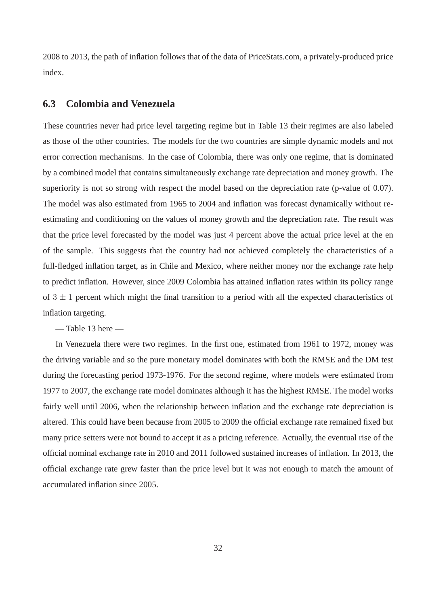2008 to 2013, the path of inflation follows that of the data of PriceStats.com, a privately-produced price index.

### **6.3 Colombia and Venezuela**

These countries never had price level targeting regime but in Table 13 their regimes are also labeled as those of the other countries. The models for the two countries are simple dynamic models and not error correction mechanisms. In the case of Colombia, there was only one regime, that is dominated by a combined model that contains simultaneously exchange rate depreciation and money growth. The superiority is not so strong with respect the model based on the depreciation rate (p-value of 0.07). The model was also estimated from 1965 to 2004 and inflation was forecast dynamically without reestimating and conditioning on the values of money growth and the depreciation rate. The result was that the price level forecasted by the model was just 4 percent above the actual price level at the en of the sample. This suggests that the country had not achieved completely the characteristics of a full-fledged inflation target, as in Chile and Mexico, where neither money nor the exchange rate help to predict inflation. However, since 2009 Colombia has attained inflation rates within its policy range of  $3 \pm 1$  percent which might the final transition to a period with all the expected characteristics of inflation targeting.

 $-$  Table 13 here  $-$ 

In Venezuela there were two regimes. In the first one, estimated from 1961 to 1972, money was the driving variable and so the pure monetary model dominates with both the RMSE and the DM test during the forecasting period 1973-1976. For the second regime, where models were estimated from 1977 to 2007, the exchange rate model dominates although it has the highest RMSE. The model works fairly well until 2006, when the relationship between inflation and the exchange rate depreciation is altered. This could have been because from 2005 to 2009 the official exchange rate remained fixed but many price setters were not bound to accept it as a pricing reference. Actually, the eventual rise of the official nominal exchange rate in 2010 and 2011 followed sustained increases of inflation. In 2013, the official exchange rate grew faster than the price level but it was not enough to match the amount of accumulated inflation since 2005.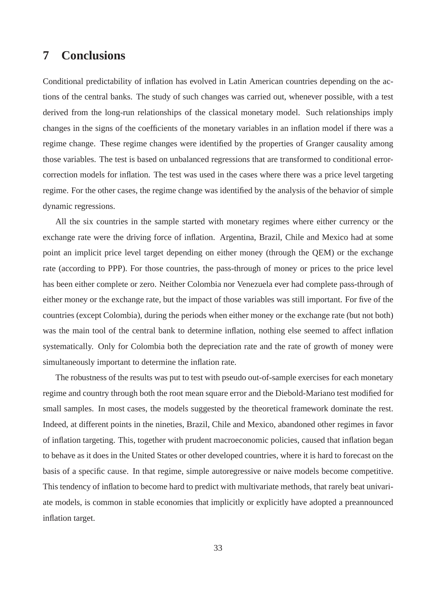# **7 Conclusions**

Conditional predictability of inflation has evolved in Latin American countries depending on the actions of the central banks. The study of such changes was carried out, whenever possible, with a test derived from the long-run relationships of the classical monetary model. Such relationships imply changes in the signs of the coefficients of the monetary variables in an inflation model if there was a regime change. These regime changes were identified by the properties of Granger causality among those variables. The test is based on unbalanced regressions that are transformed to conditional errorcorrection models for inflation. The test was used in the cases where there was a price level targeting regime. For the other cases, the regime change was identified by the analysis of the behavior of simple dynamic regressions.

All the six countries in the sample started with monetary regimes where either currency or the exchange rate were the driving force of inflation. Argentina, Brazil, Chile and Mexico had at some point an implicit price level target depending on either money (through the QEM) or the exchange rate (according to PPP). For those countries, the pass-through of money or prices to the price level has been either complete or zero. Neither Colombia nor Venezuela ever had complete pass-through of either money or the exchange rate, but the impact of those variables was still important. For five of the countries (except Colombia), during the periods when either money or the exchange rate (but not both) was the main tool of the central bank to determine inflation, nothing else seemed to affect inflation systematically. Only for Colombia both the depreciation rate and the rate of growth of money were simultaneously important to determine the inflation rate.

The robustness of the results was put to test with pseudo out-of-sample exercises for each monetary regime and country through both the root mean square error and the Diebold-Mariano test modified for small samples. In most cases, the models suggested by the theoretical framework dominate the rest. Indeed, at different points in the nineties, Brazil, Chile and Mexico, abandoned other regimes in favor of inflation targeting. This, together with prudent macroeconomic policies, caused that inflation began to behave as it does in the United States or other developed countries, where it is hard to forecast on the basis of a specific cause. In that regime, simple autoregressive or naive models become competitive. This tendency of inflation to become hard to predict with multivariate methods, that rarely beat univariate models, is common in stable economies that implicitly or explicitly have adopted a preannounced inflation target.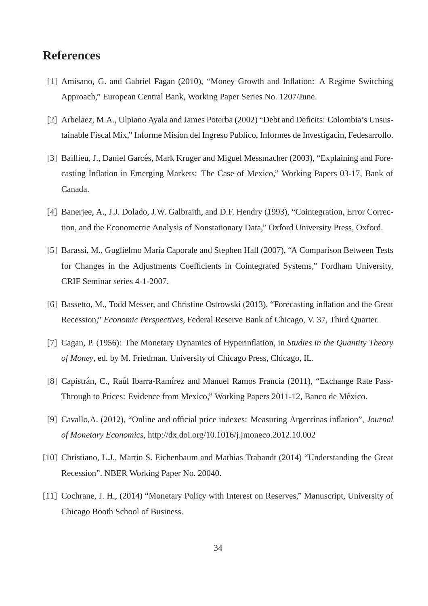# **References**

- [1] Amisano, G. and Gabriel Fagan (2010), "Money Growth and Inflation: A Regime Switching Approach," European Central Bank, Working Paper Series No. 1207/June.
- [2] Arbelaez, M.A., Ulpiano Ayala and James Poterba (2002) "Debt and Deficits: Colombia's Unsustainable Fiscal Mix," Informe Mision del Ingreso Publico, Informes de Investigacin, Fedesarrollo.
- [3] Baillieu, J., Daniel Garcés, Mark Kruger and Miguel Messmacher (2003), "Explaining and Forecasting Inflation in Emerging Markets: The Case of Mexico," Working Papers 03-17, Bank of Canada.
- [4] Banerjee, A., J.J. Dolado, J.W. Galbraith, and D.F. Hendry (1993), "Cointegration, Error Correction, and the Econometric Analysis of Nonstationary Data," Oxford University Press, Oxford.
- [5] Barassi, M., Guglielmo Maria Caporale and Stephen Hall (2007), "A Comparison Between Tests for Changes in the Adjustments Coefficients in Cointegrated Systems," Fordham University, CRIF Seminar series 4-1-2007.
- [6] Bassetto, M., Todd Messer, and Christine Ostrowski (2013), "Forecasting inflation and the Great Recession," *Economic Perspectives*, Federal Reserve Bank of Chicago, V. 37, Third Quarter.
- [7] Cagan, P. (1956): The Monetary Dynamics of Hyperinflation, in *Studies in the Quantity Theory of Money*, ed. by M. Friedman. University of Chicago Press, Chicago, IL.
- [8] Capistrán, C., Raúl Ibarra-Ramírez and Manuel Ramos Francia (2011), "Exchange Rate Pass-Through to Prices: Evidence from Mexico," Working Papers 2011-12, Banco de México.
- [9] Cavallo,A. (2012), "Online and official price indexes: Measuring Argentinas inflation", *Journal of Monetary Economics*, http://dx.doi.org/10.1016/j.jmoneco.2012.10.002
- [10] Christiano, L.J., Martin S. Eichenbaum and Mathias Trabandt (2014) "Understanding the Great Recession". NBER Working Paper No. 20040.
- [11] Cochrane, J. H., (2014) "Monetary Policy with Interest on Reserves," Manuscript, University of Chicago Booth School of Business.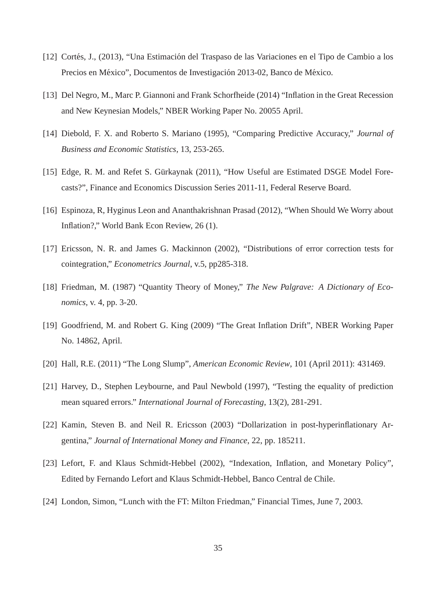- [12] Cortés, J., (2013), "Una Estimación del Traspaso de las Variaciones en el Tipo de Cambio a los Precios en México", Documentos de Investigación 2013-02, Banco de México.
- [13] Del Negro, M., Marc P. Giannoni and Frank Schorfheide (2014) "Inflation in the Great Recession and New Keynesian Models," NBER Working Paper No. 20055 April.
- [14] Diebold, F. X. and Roberto S. Mariano (1995), "Comparing Predictive Accuracy," *Journal of Business and Economic Statistics*, 13, 253-265.
- [15] Edge, R. M. and Refet S. Gürkaynak (2011), "How Useful are Estimated DSGE Model Forecasts?", Finance and Economics Discussion Series 2011-11, Federal Reserve Board.
- [16] Espinoza, R, Hyginus Leon and Ananthakrishnan Prasad (2012), "When Should We Worry about Inflation?," World Bank Econ Review, 26 (1).
- [17] Ericsson, N. R. and James G. Mackinnon (2002), "Distributions of error correction tests for cointegration," *Econometrics Journal*, v.5, pp285-318.
- [18] Friedman, M. (1987) "Quantity Theory of Money," *The New Palgrave: A Dictionary of Economics*, v. 4, pp. 3-20.
- [19] Goodfriend, M. and Robert G. King (2009) "The Great Inflation Drift", NBER Working Paper No. 14862, April.
- [20] Hall, R.E. (2011) "The Long Slump", *American Economic Review*, 101 (April 2011): 431469.
- [21] Harvey, D., Stephen Leybourne, and Paul Newbold (1997), "Testing the equality of prediction mean squared errors." *International Journal of Forecasting*, 13(2), 281-291.
- [22] Kamin, Steven B. and Neil R. Ericsson (2003) "Dollarization in post-hyperinflationary Argentina," *Journal of International Money and Finance*, 22, pp. 185211.
- [23] Lefort, F. and Klaus Schmidt-Hebbel (2002), "Indexation, Inflation, and Monetary Policy", Edited by Fernando Lefort and Klaus Schmidt-Hebbel, Banco Central de Chile.
- [24] London, Simon, "Lunch with the FT: Milton Friedman," Financial Times, June 7, 2003.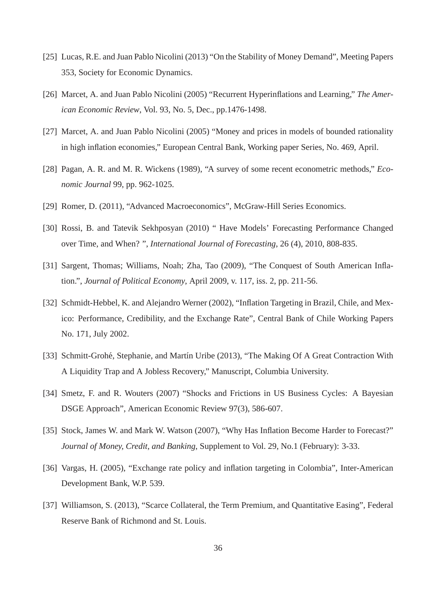- [25] Lucas, R.E. and Juan Pablo Nicolini (2013) "On the Stability of Money Demand", Meeting Papers 353, Society for Economic Dynamics.
- [26] Marcet, A. and Juan Pablo Nicolini (2005) "Recurrent Hyperinflations and Learning," *The American Economic Review*, Vol. 93, No. 5, Dec., pp.1476-1498.
- [27] Marcet, A. and Juan Pablo Nicolini (2005) "Money and prices in models of bounded rationality in high inflation economies," European Central Bank, Working paper Series, No. 469, April.
- [28] Pagan, A. R. and M. R. Wickens (1989), "A survey of some recent econometric methods," *Economic Journal* 99, pp. 962-1025.
- [29] Romer, D. (2011), "Advanced Macroeconomics", McGraw-Hill Series Economics.
- [30] Rossi, B. and Tatevik Sekhposyan (2010) " Have Models' Forecasting Performance Changed over Time, and When? ", *International Journal of Forecasting*, 26 (4), 2010, 808-835.
- [31] Sargent, Thomas; Williams, Noah; Zha, Tao (2009), "The Conquest of South American Inflation.", *Journal of Political Economy*, April 2009, v. 117, iss. 2, pp. 211-56.
- [32] Schmidt-Hebbel, K. and Alejandro Werner (2002), "Inflation Targeting in Brazil, Chile, and Mexico: Performance, Credibility, and the Exchange Rate", Central Bank of Chile Working Papers No. 171, July 2002.
- [33] Schmitt-Grohé, Stephanie, and Martín Uribe (2013), "The Making Of A Great Contraction With A Liquidity Trap and A Jobless Recovery," Manuscript, Columbia University.
- [34] Smetz, F. and R. Wouters (2007) "Shocks and Frictions in US Business Cycles: A Bayesian DSGE Approach", American Economic Review 97(3), 586-607.
- [35] Stock, James W. and Mark W. Watson (2007), "Why Has Inflation Become Harder to Forecast?" *Journal of Money, Credit, and Banking*, Supplement to Vol. 29, No.1 (February): 3-33.
- [36] Vargas, H. (2005), "Exchange rate policy and inflation targeting in Colombia", Inter-American Development Bank, W.P. 539.
- [37] Williamson, S. (2013), "Scarce Collateral, the Term Premium, and Quantitative Easing", Federal Reserve Bank of Richmond and St. Louis.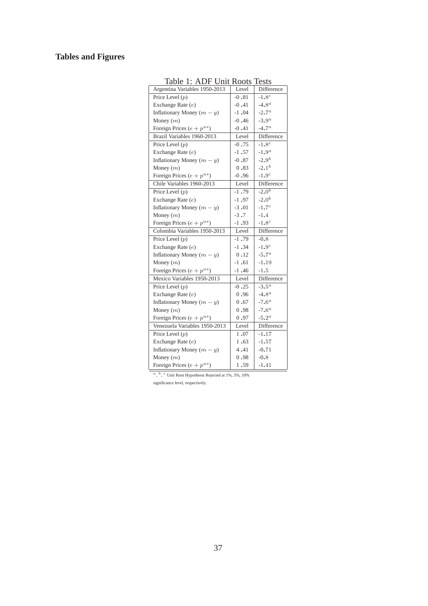# **Tables and Figures**

| raviv<br>. .<br>7. Y.T<br>, ,<br>$\cup$ iii | 11 V<br>ບເມ | エレいい       |
|---------------------------------------------|-------------|------------|
| Argentina Variables 1950-2013               | Level       | Difference |
| Price Level $(p)$                           | $-0.81$     | $-1.8c$    |
| Exchange Rate (e)                           | $-0.41$     | $-4.8a$    |
| Inflationary Money $(m - y)$                | $-1.04$     | $-2.7^a$   |
| Money $(m)$                                 | $-0.46$     | $-3.9a$    |
| Foreign Prices $(e + p^{us})$               | $-0.41$     | $-4.7^a$   |
| Brazil Variables 1960-2013                  | Level       | Difference |
| Price Level $(p)$                           | $-0.75$     | $-1.8c$    |
| Exchange Rate (e)                           | $-1.57$     | $-1.9a$    |
| Inflationary Money $(m - y)$                | $-0.87$     | $-2.9^{b}$ |
| Money $(m)$                                 | 0.83        | $-2.1^{b}$ |
| Foreign Prices $(e + p^{us})$               | $-0.96$     | $-1.9c$    |
| Chile Variables 1960-2013                   | Level       | Difference |
| Price Level $(p)$                           | $-1.79$     | $-2.0^{b}$ |
| Exchange Rate (e)                           | $-1.97$     | $-2.0^{b}$ |
| Inflationary Money $(m - y)$                | $-3.01$     | $-1.7^{c}$ |
| Money $(m)$                                 | $-3.7$      | $-1.4$     |
| Foreign Prices $(e + p^{us})$               | $-1.93$     | $-1.8c$    |
| Colombia Variables 1950-2013                | Level       | Difference |
| Price Level $(p)$                           | $-1.79$     | $-0.8$     |
| Exchange Rate (e)                           | $-1.34$     | $-1.9c$    |
| Inflationary Money $(m - y)$                | 0.12        | $-5.7^a$   |
| Money $(m)$                                 | $-1.61$     | $-1.19$    |
| Foreign Prices $(e + p^{us})$               | $-1.46$     | $-1.5$     |
| Mexico Variables 1950-2013                  | Level       | Difference |
| Price Level $(p)$                           | $-0.25$     | $-3.5^a$   |
| Exchange Rate $(e)$                         | 0.96        | $-4.8a$    |
| Inflationary Money $(m - y)$                | 0.67        | $-7.6^a$   |
| Money $(m)$                                 | 0.98        | $-7.6^a$   |
| Foreign Prices $(e + p^{us})$               | 0.97        | $-5.2^a$   |
| Venezuela Variables 1950-2013               | Level       | Difference |
| Price Level $(p)$                           | 1.07        | $-1.17$    |
| Exchange Rate (e)                           | 1.63        | $-1.57$    |
| Inflationary Money $(m - y)$                | 4.41        | $-0.71$    |
| Money $(m)$                                 | 0.98        | $-0.8$     |
| Foreign Prices $(e + p^{us})$               | 1.59        | $-1.41$    |
|                                             |             |            |

Table 1: ADF Unit Roots Tests

 $a, b, c$  Unit Root Hypothesis Rejected at 1%, 5%, 10%

significance level, respectively.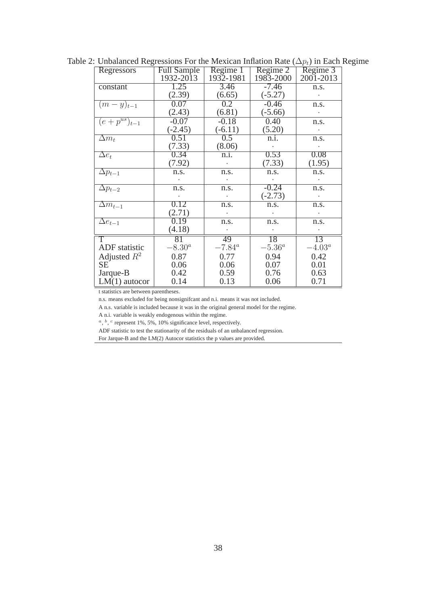| Regressors                  | <b>Full Sample</b> | Regime 1         | Regime 2        | Regime 3        |
|-----------------------------|--------------------|------------------|-----------------|-----------------|
|                             | 1932-2013          | 1932-1981        | 1983-2000       | 2001-2013       |
| constant                    | 1.25               | 3.46             | $-7.46$         | n.s.            |
|                             | (2.39)             | (6.65)           | $(-5.27)$       |                 |
| $(m-y)_{t-1}$               | 0.07               | $\overline{0.2}$ | $-0.46$         | n.s.            |
|                             | (2.43)             | (6.81)           | $(-5.66)$       |                 |
| $(e+p^{us})_{t-1}$          | $-0.07$            | $-0.18$          | 0.40            | n.s.            |
|                             | $(-2.45)$          | $(-6.11)$        | (5.20)          |                 |
| $\Delta m_t$                | 0.51               | 0.5              | n.i.            | n.s.            |
|                             | (7.33)             | (8.06)           |                 |                 |
| $\Delta e_t$                | 0.34               | n.i.             | 0.53            | 0.08            |
|                             | (7.92)             | $\bullet$        | (7.33)          | (1.95)          |
| $\Delta p_{t-1}$            | n.s.               | n.s.             | n.s.            | n.s.            |
|                             |                    |                  |                 |                 |
| $\Delta p_{t-2}$            | n.s.               | n.s.             | $-0.24$         | n.s.            |
|                             |                    |                  | $(-2.73)$       |                 |
| $\Delta m_{t-1}$            | 0.12               | n.s.             | n.s.            | n.s.            |
|                             | (2.71)             |                  |                 |                 |
| $\overline{\Delta e_{t-1}}$ | 0.19               | n.s.             | n.s.            | n.s.            |
|                             | (4.18)             |                  |                 |                 |
| T                           | 81                 | 49               | 18              | 13              |
| ADF statistic               | $-8.30^a$          | $-7.84^{\circ}$  | $-5.36^{\circ}$ | $-4.03^{\circ}$ |
| Adjusted $R^2$              | 0.87               | 0.77             | 0.94            | 0.42            |
| SЕ                          | 0.06               | 0.06             | 0.07            | 0.01            |
| Jarque-B                    | 0.42               | 0.59             | 0.76            | 0.63            |
| $LM(1)$ autocor             | 0.14               | 0.13             | 0.06            | 0.71            |

Table 2: Unbalanced Regressions For the Mexican Inflation Rate ( $\Delta p_t$ ) in Each Regime

n.s. means excluded for being nonsignifcant and n.i. means it was not included.

A n.s. variable is included because it was in the original general model for the regime.

A n.i. variable is weakly endogenous within the regime.

 $a, b, c$  represent 1%, 5%, 10% significance level, respectively.

ADF statistic to test the stationarity of the residuals of an unbalanced regression.

For Jarque-B and the LM(2) Autocor statistics the p values are provided.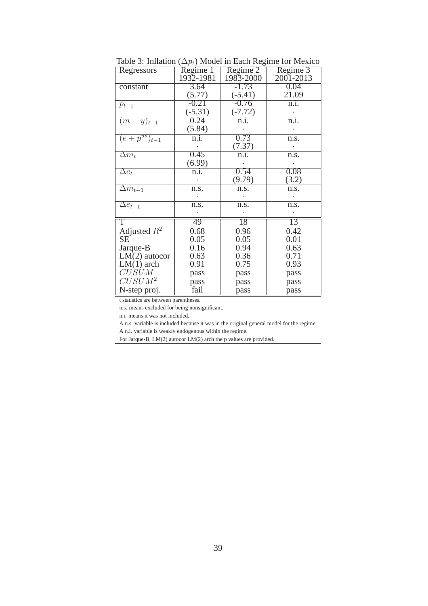| Regressors                    | Regime 1  | Regime 2  | Regime 3          |
|-------------------------------|-----------|-----------|-------------------|
|                               | 1932-1981 | 1983-2000 | 2001-2013         |
| constant                      | 3.64      | $-1.73$   | 0.04              |
|                               | (5.77)    | $(-5.41)$ | 21.09             |
| $p_{t-1}$                     | $-0.21$   | $-0.76$   | n.i.              |
|                               | $(-5.31)$ | $(-7.72)$ |                   |
| $(m-y)_{t-1}$                 | 0.24      | n.i.      | $\overline{n.i.}$ |
|                               | (5.84)    |           |                   |
| $\overline{(e+p^{us})_{t-1}}$ | n.i.      | 0.73      | n.s.              |
|                               |           | (7.37)    |                   |
| $\Delta m_t$                  | 0.45      | n.i.      | n.s.              |
|                               | (6.99)    |           |                   |
| $\Delta e_t$                  | n.i.      | 0.54      | 0.08              |
|                               |           | (9.79)    | (3.2)             |
| $\Delta m_{t-1}$              | n.s.      | n.s.      | n.s.              |
|                               |           |           |                   |
| $\Delta e_{t-1}$              | n.s.      | n.s.      | n.s.              |
|                               |           |           |                   |
| $\overline{T}$                | 49        | 18        | 13                |
| Adjusted $R^2$                | 0.68      | 0.96      | 0.42              |
| SE <sup>-</sup>               | 0.05      | 0.05      | 0.01              |
| Jarque-B                      | 0.16      | 0.94      | 0.63              |
| $LM(2)$ autocor               | 0.63      | 0.36      | 0.71              |
| $LM(1)$ arch                  | 0.91      | 0.75      | 0.93              |
| CUSUM                         | pass      | pass      | pass              |
| $CUSUM^2$                     | pass      | pass      | pass              |
| N-step proj.                  | fail      | pass      | pass              |

Table 3: Inflation ( $\Delta p_t$ ) Model in Each Regime for Mexico

n.s. means excluded for being nonsignificant.

n.i. means it was not included.

A n.s. variable is included because it was in the original general model for the regime.

A n.i. variable is weakly endogenous within the regime.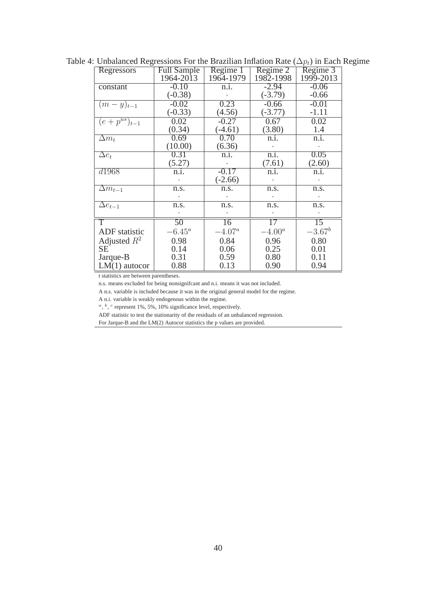| Regressors                  | Full Sample | Regime 1        | Regime 2  | Regime 3        |
|-----------------------------|-------------|-----------------|-----------|-----------------|
|                             | 1964-2013   | 1964-1979       | 1982-1998 | 1999-2013       |
| constant                    | $-0.10$     | n.i.            | $-2.94$   | $-0.06$         |
|                             | $(-0.38)$   |                 | $(-3.79)$ | $-0.66$         |
| $(m-y)_{t-1}$               | $-0.02$     | 0.23            | $-0.66$   | $-0.01$         |
|                             | $(-0.33)$   | (4.56)          | $(-3.77)$ | $-1.11$         |
| $(e+p^{us})_{t-1}$          | 0.02        | $-0.27$         | 0.67      | 0.02            |
|                             | (0.34)      | $(-4.61)$       | (3.80)    | 1.4             |
| $\Delta m_t$                | 0.69        | 0.70            | n.i.      | n.i.            |
|                             | (10.00)     | (6.36)          |           |                 |
| $\Delta e_t$                | 0.31        | n.i.            | n.i.      | 0.05            |
|                             | (5.27)      |                 | (7.61)    | (2.60)          |
| d1968                       | n.i.        | $-0.17$         | n.i.      | n.i.            |
|                             |             | $(-2.66)$       |           |                 |
| $\Delta m_{t-1}$            | n.s.        | n.s.            | n.s.      | n.s.            |
|                             |             |                 |           |                 |
| $\overline{\Delta e}_{t-1}$ | n.s.        | n.s.            | n.s.      | n.s.            |
|                             |             |                 |           |                 |
| T                           | 50          | $\overline{16}$ | 17        | $\overline{15}$ |
| ADF statistic               | $-6.45^a$   | $-4.07^a$       | $-4.00^a$ | $-3.67^b$       |
| Adjusted $R^2$              | 0.98        | 0.84            | 0.96      | 0.80            |
| <b>SE</b>                   | 0.14        | 0.06            | 0.25      | 0.01            |
| Jarque-B                    | 0.31        | 0.59            | 0.80      | 0.11            |
| $LM(1)$ autocor             | 0.88        | 0.13            | 0.90      | 0.94            |

Table 4: Unbalanced Regressions For the Brazilian Inflation Rate ( $\Delta p_t$ ) in Each Regime

n.s. means excluded for being nonsignifcant and n.i. means it was not included.

A n.s. variable is included because it was in the original general model for the regime.

A n.i. variable is weakly endogenous within the regime.

 $a, b, c$  represent 1%, 5%, 10% significance level, respectively.

ADF statistic to test the stationarity of the residuals of an unbalanced regression.

For Jarque-B and the LM(2) Autocor statistics the p values are provided.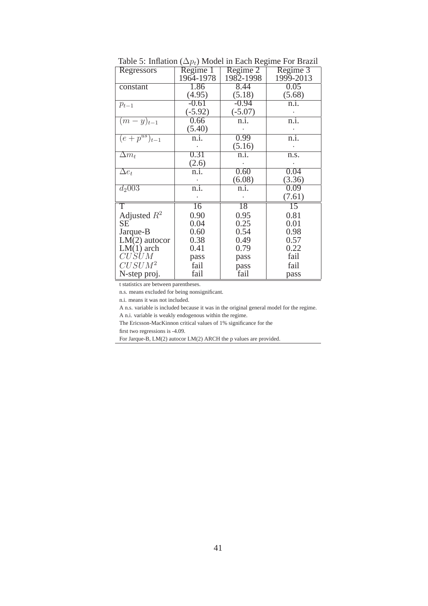| Regressors                    | $\mathbf{r}$ $\mathbf{v}$ $\mathbf{r}$<br>Regime 1 | Regime 2  | Regime 3  |
|-------------------------------|----------------------------------------------------|-----------|-----------|
|                               | 1964-1978                                          | 1982-1998 | 1999-2013 |
| constant                      | 1.86                                               | 8.44      | 0.05      |
|                               | (4.95)                                             | (5.18)    | (5.68)    |
| $p_{t-1}$                     | $-0.61$                                            | $-0.94$   | n.i.      |
|                               | $(-5.92)$                                          | $(-5.07)$ |           |
| $(m-y)_{t-1}$                 | 0.66                                               | n.i.      | n.i.      |
|                               | (5.40)                                             |           |           |
| $\overline{(e+p^{us})_{t-1}}$ | n.i.                                               | 0.99      | n.i.      |
|                               |                                                    | (5.16)    |           |
| $\Delta m_t$                  | 0.31                                               | n.i.      | n.s.      |
|                               | (2.6)                                              |           |           |
| $\Delta e_t$                  | n.i.                                               | 0.60      | 0.04      |
|                               |                                                    | (6.08)    | (3.36)    |
| $d_2$ 003                     | n.i.                                               | n.i.      | 0.09      |
|                               |                                                    |           | (7.61)    |
| T                             | 16                                                 | 18        | 15        |
| Adjusted $R^2$                | 0.90                                               | 0.95      | 0.81      |
| <b>SE</b>                     | 0.04                                               | 0.25      | 0.01      |
| Jarque-B                      | 0.60                                               | 0.54      | 0.98      |
| $LM(2)$ autocor               | 0.38                                               | 0.49      | 0.57      |
| $LM(1)$ arch                  | 0.41                                               | 0.79      | 0.22      |
| CUSUM                         | pass                                               | pass      | fail      |
| $CUSUM^2$                     | fail                                               | pass      | fail      |
| N-step proj.                  | fail                                               | fail      | pass      |

Table 5: Inflation ( $\Delta p_t$ ) Model in Each Regime For Brazil

n.s. means excluded for being nonsignificant.

n.i. means it was not included.

A n.s. variable is included because it was in the original general model for the regime.

A n.i. variable is weakly endogenous within the regime.

The Ericsson-MacKinnon critical values of 1% significance for the

first two regressions is -4.09.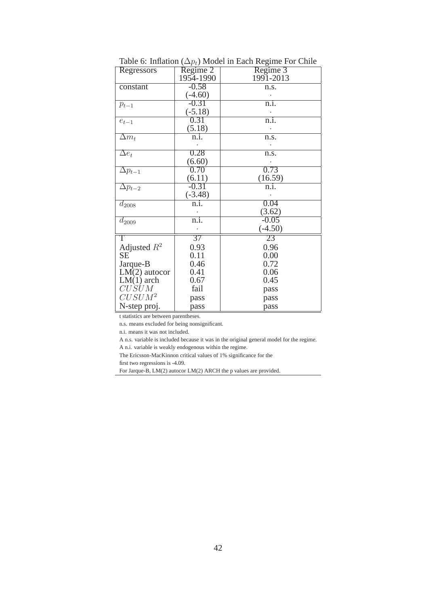| Regressors                  | Regime 2        | Regime 3  |
|-----------------------------|-----------------|-----------|
|                             | 1954-1990       | 1991-2013 |
| constant                    | $-0.58$         | n.s.      |
|                             | $(-4.60)$       |           |
| $p_{t-1}$                   | $-0.31$         | n.i.      |
|                             | $(-5.18)$       |           |
| $e_{t-1}$                   | 0.31            | n.i.      |
|                             | (5.18)          |           |
| $\overline{\Delta m}_t$     | n.i.            | n.s.      |
|                             |                 |           |
| $\overline{\Delta e}_t$     | 0.28            | n.s.      |
|                             | (6.60)          |           |
| $\Delta p_{t-1}$            | 0.70            | 0.73      |
|                             | (6.11)          | (16.59)   |
| $\overline{\Delta p_{t-2}}$ | $-0.31$         | n.i.      |
|                             | $(-3.48)$       |           |
| $d_{2008}$                  | n.i.            | 0.04      |
|                             |                 | (3.62)    |
| $d_{2009}$                  | n.i.            | $-0.05$   |
|                             |                 | $(-4.50)$ |
| $\overline{T}$              | $\overline{37}$ | 23        |
| Adjusted $R^2$              | 0.93            | 0.96      |
| <b>SE</b>                   | 0.11            | 0.00      |
| Jarque-B                    | 0.46            | 0.72      |
| $LM(2)$ autocor             | 0.41            | 0.06      |
| $LM(1)$ arch                | 0.67            | 0.45      |
| CUSUM                       | fail            | pass      |
| $CUSUM^2$                   | pass            | pass      |
| N-step proj.                | pass            | pass      |

Table 6: Inflation ( $\Delta p_t$ ) Model in Each Regime For Chile

n.s. means excluded for being nonsignificant.

n.i. means it was not included.

A n.s. variable is included because it was in the original general model for the regime.

A n.i. variable is weakly endogenous within the regime.

The Ericsson-MacKinnon critical values of 1% significance for the

first two regressions is -4.09.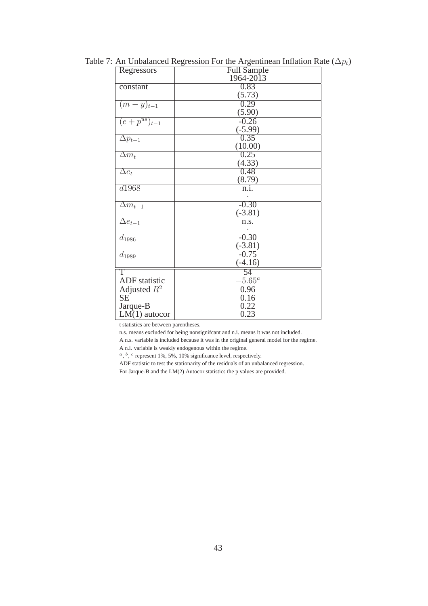| Regressors                  | <b>Full Sample</b> |
|-----------------------------|--------------------|
|                             | 1964-2013          |
| constant                    | 0.83               |
|                             | (5.73)             |
| $(m-y)_{t-1}$               | 0.29               |
|                             | (5.90)             |
| $(e + p^{us})_{t-1}$        | $-0.26$            |
|                             | $(-5.99)$          |
| $\Delta p_{t-1}$            | 0.35               |
|                             | (10.00)            |
| $\Delta m_t$                | 0.25               |
|                             | (4.33)             |
| $\Delta e_t$                | 0.48               |
|                             | (8.79)             |
| d1968                       | n.i.               |
|                             |                    |
| $\overline{\Delta m}_{t-1}$ | $-0.30$            |
|                             | $(-3.81)$          |
| $\overline{\Delta e_{t-1}}$ | n.s.               |
|                             |                    |
| $d_{1986}$                  | $-0.30$            |
|                             | $(-3.81)$          |
| $d_{1989}$                  | $-0.75$            |
|                             | $(-4.16)$          |
| $\overline{T}$              | 54                 |
| <b>ADF</b> statistic        | $-5.65^{\circ}$    |
| Adjusted $R^2$              | 0.96               |
| <b>SE</b>                   | 0.16               |
| Jarque-B                    | 0.22               |
| $LM(1)$ autocor             | 0.23               |

Table 7: An Unbalanced Regression For the Argentinean Inflation Rate ( $\Delta p_t$ )

n.s. means excluded for being nonsignifcant and n.i. means it was not included.

A n.s. variable is included because it was in the original general model for the regime.

A n.i. variable is weakly endogenous within the regime.

 $a, b, c$  represent 1%, 5%, 10% significance level, respectively.

ADF statistic to test the stationarity of the residuals of an unbalanced regression.

For Jarque-B and the LM(2) Autocor statistics the p values are provided.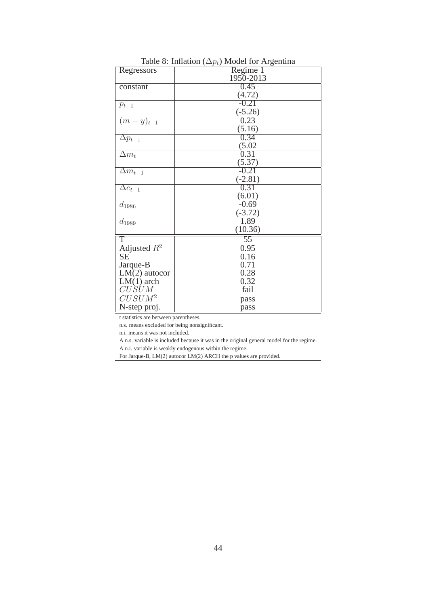| Regressors                  | Regime 1  |
|-----------------------------|-----------|
|                             | 1950-2013 |
| constant                    | 0.45      |
|                             | (4.72)    |
| $p_{t-1}$                   | $-0.21$   |
|                             | $(-5.26)$ |
| $(m-y)_{t-1}$               | 0.23      |
|                             | (5.16)    |
| $\Delta p_{t-1}$            | 0.34      |
|                             | (5.02)    |
| $\overline{\Delta m_t}$     | 0.31      |
|                             | (5.37)    |
| $\overline{\Delta m}_{t-1}$ | $-0.21$   |
|                             | $(-2.81)$ |
| $\overline{\Delta e}_{t-1}$ | 0.31      |
|                             | (6.01)    |
| $d_{1986}$                  | $-0.69$   |
|                             | $(-3.72)$ |
| $d_{1989}$                  | 1.89      |
|                             | (10.36)   |
| $\top$                      | 55        |
| Adjusted $R^2$              | 0.95      |
| <b>SE</b>                   | 0.16      |
| Jarque-B                    | 0.71      |
| $LM(2)$ autocor             | 0.28      |
| $LM(1)$ arch                | 0.32      |
| $CU\dot S\dot U M$          | fail      |
| $CUSUM^2$                   | pass      |
| N-step proj.                | pass      |

Table 8: Inflation  $(\Delta p_t)$  Model for Argentina

n.s. means excluded for being nonsignificant.

n.i. means it was not included.

A n.s. variable is included because it was in the original general model for the regime.

A n.i. variable is weakly endogenous within the regime.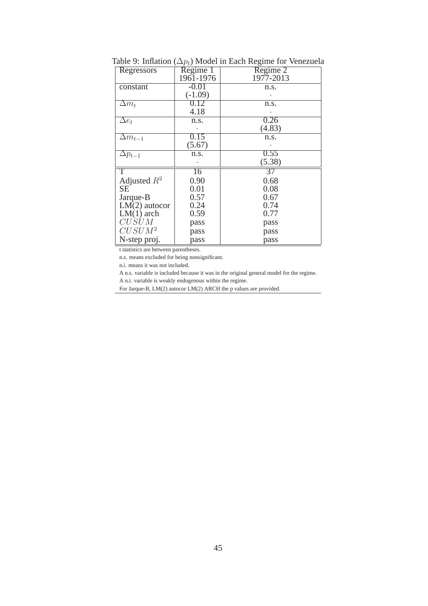| Regressors       | Regime 1  | Regime 2  |
|------------------|-----------|-----------|
|                  | 1961-1976 | 1977-2013 |
| constant         | $-0.01$   | n.s.      |
|                  | $(-1.09)$ |           |
| $\Delta m_t$     | 0.12      | n.s.      |
|                  | 4.18      |           |
| $\Delta e_t$     | n.s.      | 0.26      |
|                  |           | (4.83)    |
| $\Delta m_{t-1}$ | 0.15      | n.s.      |
|                  | (5.67)    |           |
| $\Delta p_{t-1}$ | n.s.      | 0.55      |
|                  |           | (5.38)    |
| T                | 16        | 37        |
| Adjusted $R^2$   | 0.90      | 0.68      |
| <b>SE</b>        | 0.01      | 0.08      |
| Jarque-B         | 0.57      | 0.67      |
| $LM(2)$ autocor  | 0.24      | 0.74      |
| $LM(1)$ arch     | 0.59      | 0.77      |
| CUSUM            | pass      | pass      |
| $CUSUM^2$        | pass      | pass      |
| N-step proj.     | pass      | pass      |

Table 9: Inflation ( $\Delta p_t$ ) Model in Each Regime for Venezuela

n.s. means excluded for being nonsignificant.

n.i. means it was not included.

A n.s. variable is included because it was in the original general model for the regime.

A n.i. variable is weakly endogenous within the regime.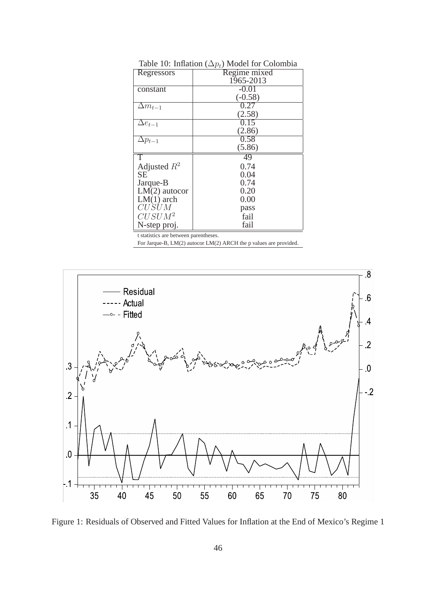| Regressors       | Regime mixed |
|------------------|--------------|
|                  | 1965-2013    |
| constant         | $-0.01$      |
|                  | $(-0.58)$    |
| $\Delta m_{t-1}$ | 0.27         |
|                  | (2.58)       |
| $\Delta e_{t-1}$ | 0.15         |
|                  | (2.86)       |
| $\Delta p_{t-1}$ | 0.58         |
|                  | (5.86)       |
| Т                | 49           |
| Adjusted $R^2$   | 0.74         |
| <b>SE</b>        | 0.04         |
| Jarque-B         | 0.74         |
| $LM(2)$ autocor  | 0.20         |
| $LM(1)$ arch     | 0.00         |
| CUSUM            | pass         |
| $CUSUM^2$        | fail         |
| N-step proj.     | fail         |
|                  |              |

Table 10: Inflation  $(\Delta p_t)$  Model for Colombia



Figure 1: Residuals of Observed and Fitted Values for Inflation at the End of Mexico's Regime 1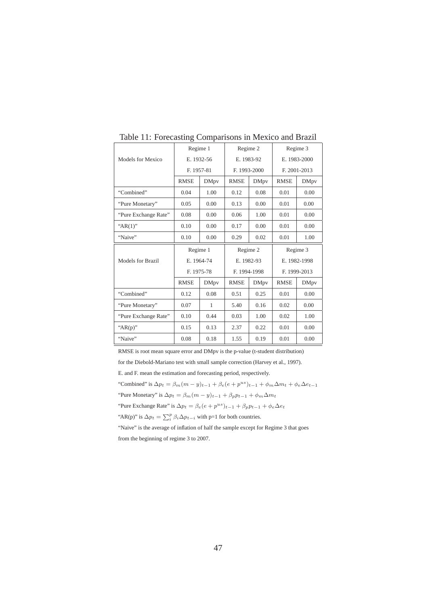|                      | Regime 1    |              | Regime 2     |             | Regime 3     |              |
|----------------------|-------------|--------------|--------------|-------------|--------------|--------------|
| Models for Mexico    | E. 1932-56  |              | E. 1983-92   |             | E. 1983-2000 |              |
|                      | F. 1957-81  |              | F. 1993-2000 |             | F. 2001-2013 |              |
|                      | <b>RMSE</b> | <b>DMpv</b>  | <b>RMSE</b>  | <b>DMpv</b> | <b>RMSE</b>  | <b>DMpv</b>  |
| "Combined"           | 0.04        | 1.00         | 0.12         | 0.08        | 0.01         | 0.00         |
| "Pure Monetary"      | 0.05        | 0.00         | 0.13         | 0.00        | 0.01         | 0.00         |
| "Pure Exchange Rate" | 0.08        | 0.00         | 0.06         | 1.00        | 0.01         | 0.00         |
| " $AR(1)$ "          | 0.10        | 0.00         | 0.17         | 0.00        | 0.01         | 0.00         |
| "Naive"              | 0.10        | 0.00         | 0.29         | 0.02        | 0.01         | 1.00         |
|                      |             |              |              |             |              |              |
|                      | Regime 1    |              | Regime 2     |             |              | Regime 3     |
| Models for Brazil    | E. 1964-74  |              | E. 1982-93   |             |              | E. 1982-1998 |
|                      | F. 1975-78  |              | F. 1994-1998 |             |              | F. 1999-2013 |
|                      | <b>RMSE</b> | <b>DMpv</b>  | <b>RMSE</b>  | <b>DMpv</b> | <b>RMSE</b>  | <b>DMpv</b>  |
| "Combined"           | 0.12        | 0.08         | 0.51         | 0.25        | 0.01         | 0.00         |
| "Pure Monetary"      | 0.07        | $\mathbf{1}$ | 5.40         | 0.16        | 0.02         | 0.00         |
| "Pure Exchange Rate" | 0.10        | 0.44         | 0.03         | 1.00        | 0.02         | 1.00         |
| " $AR(p)$ "          | 0.15        | 0.13         | 2.37         | 0.22        | 0.01         | 0.00         |

Table 11: Forecasting Comparisons in Mexico and Brazil

RMSE is root mean square error and DMpv is the p-value (t-student distribution)

for the Diebold-Mariano test with small sample correction (Harvey et al., 1997).

E. and F. mean the estimation and forecasting period, respectively.

"Combined" is  $\Delta p_t = \beta_m (m - y)_{t-1} + \beta_e (e + p^{us})_{t-1} + \phi_m \Delta m_t + \phi_e \Delta e_{t-1}$ 

"Pure Monetary" is  $\Delta p_t = \beta_m(m - y)_{t-1} + \beta_p p_{t-1} + \phi_m \Delta m_t$ 

"Pure Exchange Rate" is  $\Delta p_t = \beta_e (e + p^{us})_{t-1} + \beta_p p_{t-1} + \phi_e \Delta e_t$ 

"AR(p)" is  $\Delta p_t = \sum_i^p \beta_i \Delta p_{t-i}$  with p=1 for both countries.

"Naive" is the average of inflation of half the sample except for Regime 3 that goes from the beginning of regime 3 to 2007.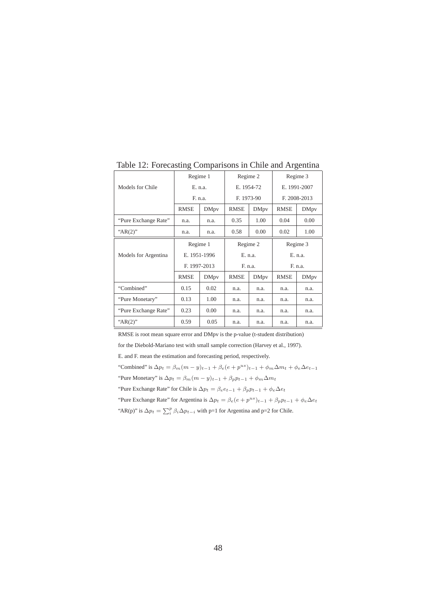|                      | Regime 1     |                       | Regime 2    |              | Regime 3     |             |
|----------------------|--------------|-----------------------|-------------|--------------|--------------|-------------|
| Models for Chile     |              | E. 1954-72<br>E. n.a. |             | E. 1991-2007 |              |             |
|                      | F. n.a.      |                       | F. 1973-90  |              | F. 2008-2013 |             |
|                      | <b>RMSE</b>  | <b>DMpv</b>           | <b>RMSE</b> | <b>DMpv</b>  | <b>RMSE</b>  | <b>DMpv</b> |
| "Pure Exchange Rate" | n.a.         | n.a.                  | 0.35        | 1.00         | 0.04         | 0.00        |
| " $AR(2)$ "          | n.a.         | n.a.                  | 0.58        | 0.00         | 0.02         | 1.00        |
|                      | Regime 1     |                       | Regime 2    |              | Regime 3     |             |
| Models for Argentina |              | E. 1951-1996          | E. n.a.     |              | E. n.a.      |             |
|                      | F. 1997-2013 |                       | F. n.a.     |              | F. n.a.      |             |
|                      | <b>RMSE</b>  | <b>DMpv</b>           | <b>RMSE</b> | <b>DMpv</b>  | <b>RMSE</b>  | <b>DMpv</b> |
| "Combined"           | 0.15         | 0.02                  | n.a.        | n.a.         | n.a.         | n.a.        |
| "Pure Monetary"      | 0.13<br>1.00 |                       | n.a.        | n.a.         | n.a.         | n.a.        |
| "Pure Exchange Rate" | 0.23         | 0.00                  | n.a.        | n.a.         | n.a.         | n.a.        |
| " $AR(2)$ "          | 0.59         | 0.05                  |             |              |              |             |

Table 12: Forecasting Comparisons in Chile and Argentina

RMSE is root mean square error and DMpv is the p-value (t-student distribution)

for the Diebold-Mariano test with small sample correction (Harvey et al., 1997).

E. and F. mean the estimation and forecasting period, respectively.

"Combined" is  $\Delta p_t = \beta_m (m - y)_{t-1} + \beta_e (e + p^{us})_{t-1} + \phi_m \Delta m_t + \phi_e \Delta e_{t-1}$ 

"Pure Monetary" is  $\Delta p_t = \beta_m(m - y)_{t-1} + \beta_p p_{t-1} + \phi_m \Delta m_t$ 

"Pure Exchange Rate" for Chile is  $\Delta p_t = \beta_e e_{t-1} + \beta_p p_{t-1} + \phi_e \Delta e_t$ 

"Pure Exchange Rate" for Argentina is  $\Delta p_t = \beta_e (e + p^{us})_{t-1} + \beta_p p_{t-1} + \phi_e \Delta e_t$ 

"AR(p)" is  $\Delta p_t = \sum_i^p \beta_i \Delta p_{t-i}$  with p=1 for Argentina and p=2 for Chile.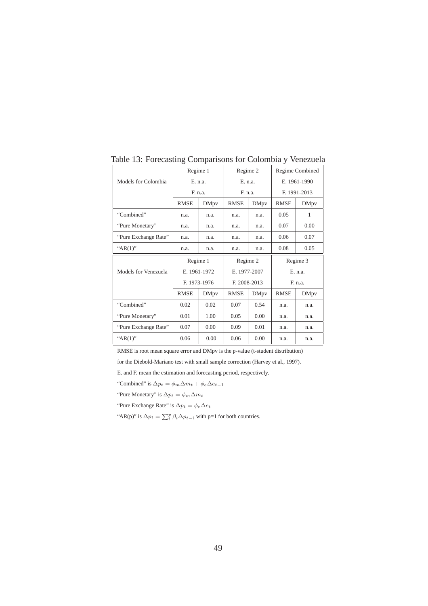|                      | Regime 1     |             | Regime 2     |             | Regime Combined |             |
|----------------------|--------------|-------------|--------------|-------------|-----------------|-------------|
| Models for Colombia  | E. n.a.      |             | E. n.a.      |             | E. 1961-1990    |             |
|                      | F. n.a.      |             | F. n.a.      |             | F. 1991-2013    |             |
|                      | <b>RMSE</b>  | <b>DMpv</b> | <b>RMSE</b>  | <b>DMpv</b> | <b>RMSE</b>     | <b>DMpv</b> |
| "Combined"           | n.a.         | n.a.        | n.a.         | n.a.        | 0.05            | 1           |
| "Pure Monetary"      | n.a.         | n.a.        | n.a.         | n.a.        | 0.07            | 0.00        |
| "Pure Exchange Rate" | n.a.         | n.a.        | n.a.         | n.a.        | 0.06            | 0.07        |
| " $AR(1)$ "          | n.a.         | n.a.        | n.a.         | n.a.        | 0.08            | 0.05        |
| Regime 1             |              |             | Regime 2     |             | Regime 3        |             |
| Models for Venezuela | E. 1961-1972 |             | E. 1977-2007 |             | E. n.a.         |             |
|                      | F. 1973-1976 |             | F. 2008-2013 |             | F. n.a.         |             |
|                      | <b>RMSE</b>  | DMpy        | <b>RMSE</b>  | <b>DMpv</b> | <b>RMSE</b>     | DMpy        |
| "Combined"           | 0.02         | 0.02        | 0.07         | 0.54        | n.a.            | n.a.        |
| "Pure Monetary"      | 0.01         | 1.00        | 0.05         | 0.00        | n.a.            | n.a.        |
|                      |              |             |              |             |                 |             |
| "Pure Exchange Rate" | 0.07         | 0.00        | 0.09         | 0.01        | n.a.            | n.a.        |

Table 13: Forecasting Comparisons for Colombia y Venezuela

RMSE is root mean square error and DMpv is the p-value (t-student distribution)

for the Diebold-Mariano test with small sample correction (Harvey et al., 1997).

E. and F. mean the estimation and forecasting period, respectively.

"Combined" is  $\Delta p_t = \phi_m \Delta m_t + \phi_e \Delta e_{t-1}$ 

"Pure Monetary" is  $\Delta p_t = \phi_m \Delta m_t$ 

"Pure Exchange Rate" is  $\Delta p_t = \phi_e \Delta e_t$ 

"AR(p)" is  $\Delta p_t = \sum_i^p \beta_i \Delta p_{t-i}$  with p=1 for both countries.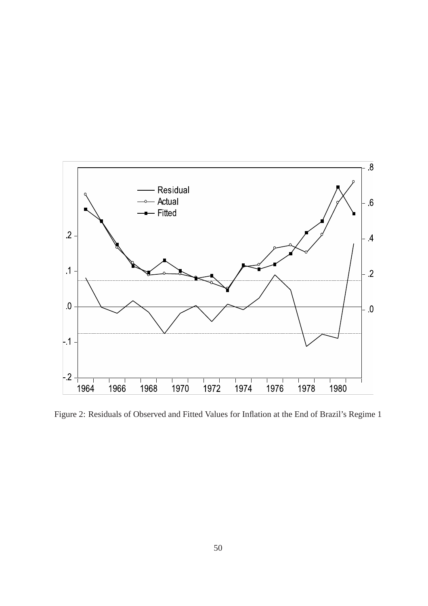

Figure 2: Residuals of Observed and Fitted Values for Inflation at the End of Brazil's Regime 1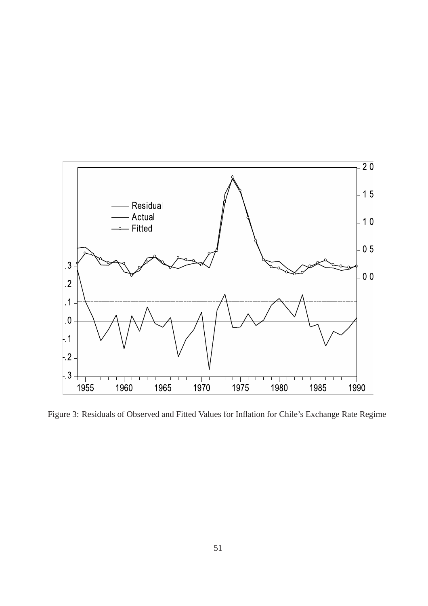

Figure 3: Residuals of Observed and Fitted Values for Inflation for Chile's Exchange Rate Regime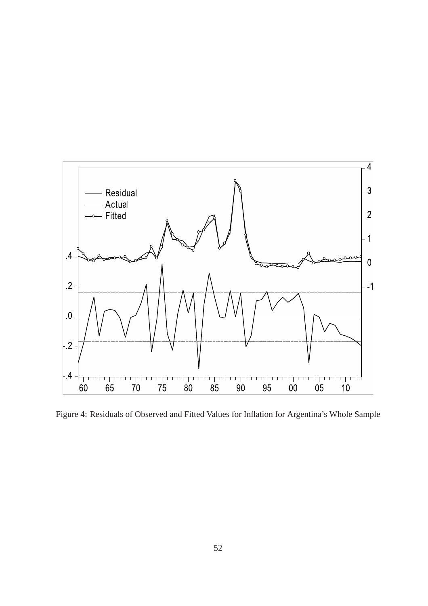

Figure 4: Residuals of Observed and Fitted Values for Inflation for Argentina's Whole Sample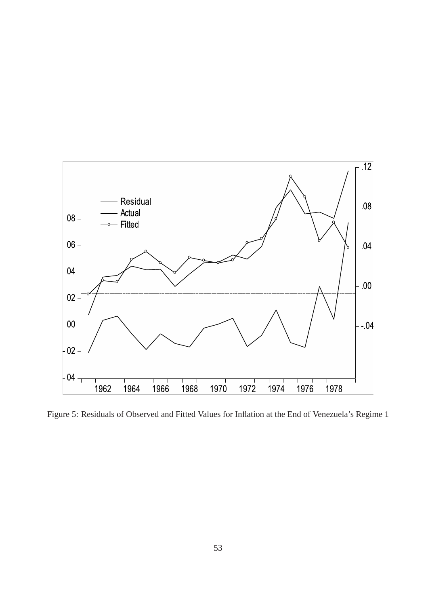

Figure 5: Residuals of Observed and Fitted Values for Inflation at the End of Venezuela's Regime 1